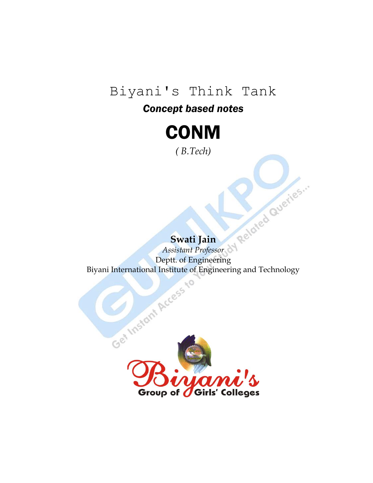# Biyani's Think Tank

# *Concept based notes*



*( B.Tech)*

**Swati Jain**

*Assistant Professor* Deptt. of Engineering

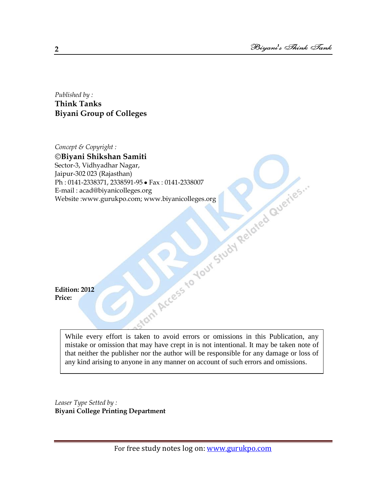*Published by :* **Think Tanks Biyani Group of Colleges**

*Concept & Copyright :* **Exicor** 3, Vidhyadhar Nagar,<br>
Sector 3, Vidhyadhar Nagar,<br>
Jaipur-302 023 (Rajasthan)<br>
Ph: 0141-2338371, 2338591-95 • Fax: 0141-2338007<br>
E-mail : acad@biyanicolleges.org<br>
Website :www.gurukpo.com; www.biyanicolleges.org<br> Sector-3, Vidhyadhar Nagar, Jaipur-302 023 (Rajasthan) Ph: 0141-2338371, 2338591-95 · Fax: 0141-2338007 E-mail : acad@biyanicolleges.org Website :www.gurukpo.com; www.biyanicolleges.org

**Edition: 2012 Price:**

> While every effort is taken to avoid errors or omissions in this Publication, any mistake or omission that may have crept in is not intentional. It may be taken note of that neither the publisher nor the author will be responsible for any damage or loss of any kind arising to anyone in any manner on account of such errors and omissions.

*Leaser Type Setted by :* **Biyani College Printing Department**

**2**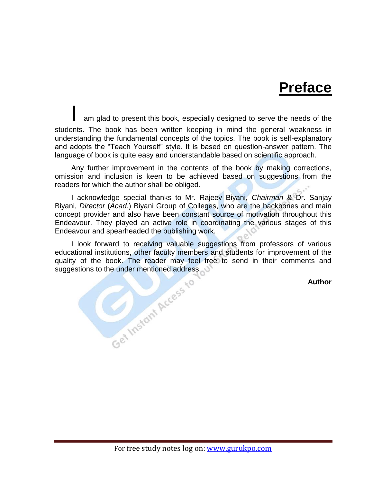# **Preface**

am glad to present this book, especially designed to serve the needs of the students. The book has been written keeping in mind the general weakness in understanding the fundamental concepts of the topics. The book is self-explanatory and adopts the "Teach Yourself" style. It is based on question-answer pattern. The language of book is quite easy and understandable based on scientific approach.

Any further improvement in the contents of the book by making corrections, omission and inclusion is keen to be achieved based on suggestions from the readers for which the author shall be obliged.

I acknowledge special thanks to Mr. Rajeev Biyani, *Chairman* & Dr. Sanjay Biyani, *Director* (*Acad.*) Biyani Group of Colleges, who are the backbones and main concept provider and also have been constant source of motivation throughout this Endeavour. They played an active role in coordinating the various stages of this Endeavour and spearheaded the publishing work.

I look forward to receiving valuable suggestions from professors of various educational institutions, other faculty members and students for improvement of the quality of the book. The reader may feel free to send in their comments and suggestions to the under mentioned address. quality of the book. The reader may feel free to send in their comments and suggestions to the under mentioned address.

**Author**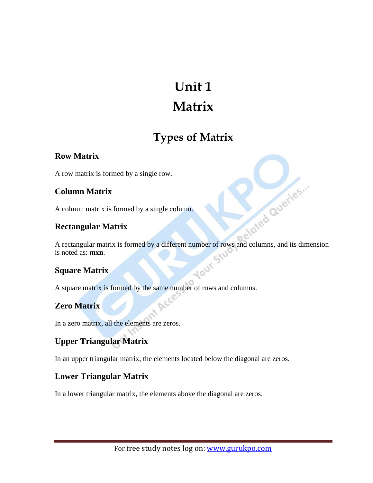# **Unit 1 Matrix**

# **Types of Matrix**

### **Row Matrix**

A row matrix is formed by a single row.

### **Column Matrix**

A column matrix is formed by a single column.

### **Rectangular Matrix**

A rectangular Matrix<br>
A rectangular matrix is formed by a different number of rows and columns, and its dimension<br>
is noted as: mxn.<br>
Square Matrix is noted as: **mxn**.

# **Square Matrix**

A square matrix is formed by the same number of rows and columns.

# **Zero Matrix**

In a zero matrix, all the elements are zeros.

# **Upper Triangular Matrix**

In an upper triangular matrix, the elements located below the diagonal are zeros.

# **Lower Triangular Matrix**

In a lower triangular matrix, the elements above the diagonal are zeros.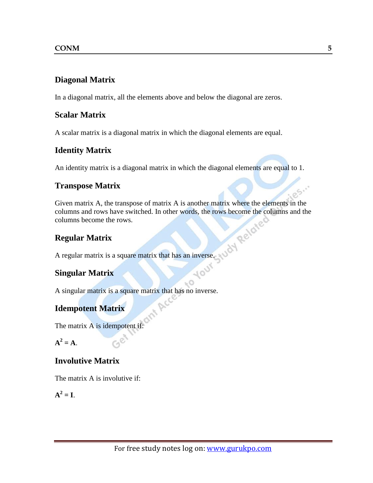## **Diagonal Matrix**

In a diagonal matrix, all the elements above and below the diagonal are zeros.

## **Scalar Matrix**

A scalar matrix is a diagonal matrix in which the diagonal elements are equal.

# **Identity Matrix**

An identity matrix is a diagonal matrix in which the diagonal elements are equal to 1.

## **Transpose Matrix**

Given matrix A, the transpose of matrix A is another matrix where the elements in the columns and rows have switched. In other words, the rows become the columns and the columns become the rows.

# **Regular Matrix**

A regular matrix is a square matrix that has an inverse.

# **Singular Matrix**

A singular matrix is a square matrix that has no inverse.

# **Idempotent Matrix**

The matrix A is idempotent if:

$$
A^2 = A.
$$

# **Involutive Matrix**

The matrix A is involutive if:

$$
A^2 = I.
$$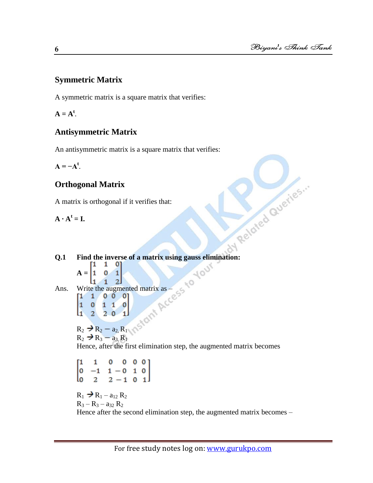### **Symmetric Matrix**

A symmetric matrix is a square matrix that verifies:

 $A = A^t$ .

### **Antisymmetric Matrix**

An antisymmetric matrix is a square matrix that verifies:

 $A = -A^t$ .

### **Orthogonal Matrix**

A matrix is orthogonal if it verifies that:

 $A \cdot A^t = I$ .

# **EXECUTE:**<br> **Q.1** Find the inverse of a matrix using gauss elimination:

- Γ1  $\mathbf{1}$ 01  $A =$  $\mathbf{1}$
- Ans. Write the augmented matrix as -
	-
	-
	- $R_2$   $\rightarrow$   $R_2$   $a_{2}$ ,  $R_1$

 $R_2 \rightarrow R_3 - a_{3} R_1$ 

Hence, after the first elimination step, the augmented matrix becomes

**YOUX** 

| $\begin{bmatrix} 1 & 1 & 0 & 0 & 0 & 0 \\ 0 & -1 & 1 & -0 & 1 & 0 \\ 0 & 2 & 2 & -1 & 0 & 1 \end{bmatrix}$ |  |  |
|------------------------------------------------------------------------------------------------------------|--|--|
|                                                                                                            |  |  |

 $R_1 \rightarrow R_1 - a_{12} R_2$  $R_3 - R_3 - a_{32} R_2$ 

Hence after the second elimination step, the augmented matrix becomes –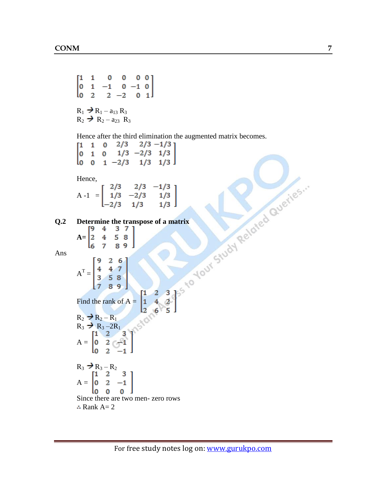$\begin{bmatrix} 1 & 1 & 0 & 0 & 0 & 0 \\ 0 & 1 & -1 & 0 & -1 & 0 \\ 0 & 2 & 2 & -2 & 0 & 1 \end{bmatrix}$  $R_1 \rightarrow R_1 - a_{13} R_3$  $R_2 \rightarrow R_2 - a_{23} R_3$ Hence after the third elimination the augmented matrix becomes.<br>  $\begin{bmatrix} 1 & 1 & 0 & 2/3 & 2/3 & -1/3 \\ 0 & 1 & 0 & 1/3 & -2/3 & 1/3 \\ 0 & 0 & 1 & -2/3 & 1/3 & 1/3 \end{bmatrix}$ Hence,  $A - 1 =$ **Q.2 Determine the transpose of a matrix A=**  Ans  $A^T =$ Find the rank of  $A =$  $R_2$  –  $R_2 - R_1$  $R_3$   $\rightarrow$   $R_3 - 2R_1$  $A =$  $R_3$   $\rightarrow R_3 - R_2$ <br>[1 2 3  $A = \begin{bmatrix} 0 & 2 & -1 \end{bmatrix}$ I٥  $\Omega$  $\mathbf{0}$ Since there are two men- zero rows  $\therefore$  Rank A= 2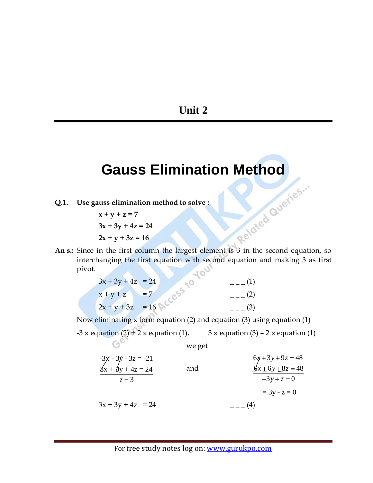# **Unit 2**

# **Gauss Elimination Method**<br>
uss elimination method to solve :<br>  $x + y + z = 7$ <br>  $3x + 3y + 4z = 24$ <br>  $2x + y + 3z = 16$

**Q.1. Use gauss elimination method to solve :**

 $x + y + z = 7$  $3x + 3y + 4z = 24$  $2x + y + 3z = 16$ 

**An s.:** Since in the first column the largest element is 3 in the second equation, so interchanging the first equation with second equation and making 3 as first pivot. -10

| $3x + 3y + 4z = 24$ |  | $  (1)$ |
|---------------------|--|---------|
| $x + y + z = 7$     |  | (2)     |
| $2x + y + 3z = 16$  |  | (3)     |

Now eliminating  $x$  form equation (2) and equation (3) using equation (1)

 $-3 \times$  equation (2) + 2  $\times$  equation (1), 3  $\times$  equation (3) – 2  $\times$  equation (1)

we get

$$
-3x - 3y - 3z = -21
$$
  

$$
8x + 8y + 4z = 24
$$
  

$$
z = 3
$$

and

 $3y + z = 0$ *y z*  $= 3y - z = 0$ 3x + 3y + 4z = 24 \_ \_ \_ (4)

 $6x+3y+9z=48$  $\cancel{6}x + 6y + 8z = 48$ 

 $x+3y+9z$  $x \pm 6y \pm 8z$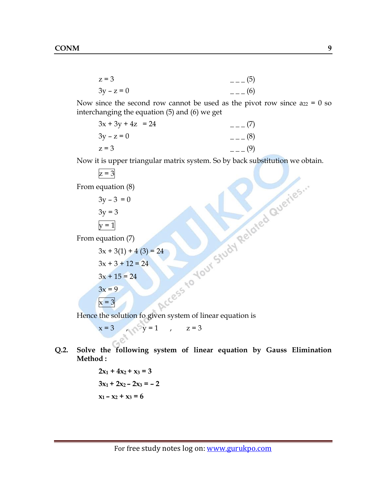$$
z = 3
$$
 --- (5)  
3y - z = 0

Now since the second row cannot be used as the pivot row since  $a_{22} = 0$  so interchanging the equation (5) and (6) we get

| $3x + 3y + 4z = 24$ | $---(7)$ |
|---------------------|----------|
| $3y - z = 0$        | $---(8)$ |
| $z = 3$             | $---(9)$ |

Now it is upper triangular matrix system. So by back substitution we obtain.

$$
z = 3
$$
  
From equation (8)  
 $3y - 3 = 0$   
 $3y = 3$   
 $y = 1$   
From equation (7)  
 $3x + 3(1) + 4(3) = 24$   
 $3x + 3 + 12 = 24$   
 $3x + 15 = 24$   
 $3x = 9$   
 $x = 3$ 

Hence the solution fo given system of linear equation is

$$
x = 3 \qquad \qquad y = 1 \qquad z = 3
$$

**Q.2. Solve the following system of linear equation by Gauss Elimination Method :**

> $2x_1 + 4x_2 + x_3 = 3$  $3x_1 + 2x_2 - 2x_3 = -2$  $x_1 - x_2 + x_3 = 6$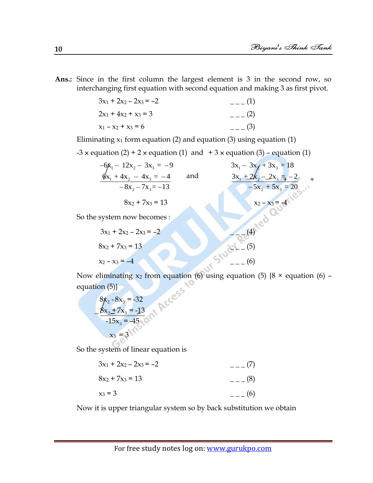**Ans.:** Since in the first column the largest element is 3 in the second row, so interchanging first equation with second equation and making 3 as first pivot.

| $3x_1 + 2x_2 - 2x_3 = -2$ | $=$ $=$ $(1)$ |
|---------------------------|---------------|
| $2x_1 + 4x_2 + x_3 = 3$   | $---(2)$      |
| $x_1 - x_2 + x_3 = 6$     | $---(3)$      |

Eliminating  $x_1$  form equation (2) and equation (3) using equation (1)

 $-3 \times$  equation (2) + 2  $\times$  equation (1) and + 3  $\times$  equation (3) – equation (1)

$$
-6x1 - 12x2 - 3x3 = -9
$$
  
\n
$$
6x1 + 4x2 - 4x3 = -4
$$
  
\n
$$
-8x2 - 7x3 = -13
$$
  
\n
$$
8x2 + 7x3 = 13
$$
  
\nSo the system now becomes:  
\n
$$
3x1 - 3x1 + 3x3 = 18
$$
  
\n
$$
3x1 + 2x2 - 2x3 = -2
$$
  
\n
$$
5x2 + 5x3 = 20
$$
  
\n
$$
x2 - x3 = -4
$$
  
\nSo the system now becomes:  
\n
$$
3x1 + 2x2 - 2x3 = -2
$$
  
\n
$$
8x2 + 7x3 = 13
$$
  
\n
$$
x2 - x3 = -4
$$
  
\n
$$
x3 + 2x4 = 20
$$
  
\n
$$
x2 - x3 = -4
$$
  
\n
$$
x3 + 2x2 - 2x3 = -4
$$
  
\n
$$
x4 + 2x5 = 20
$$
  
\n
$$
x5 + 12x2 - 2x3 = -4
$$
  
\n
$$
x6 + 12x2 - 2x3 = -2
$$
  
\n
$$
x2 - x3 = -4
$$
  
\n
$$
x3 + 2x2 - 2x3
$$

Now eliminating  $x_2$  from equation (6) using equation (5) {8 × equation (6) –<br>equation (5)}<br> $8x_2 - 8x_3 = -32$ <br> $8x_2 + 7x_1 = 12$ equation (5)}

$$
8x_2 - 8x_3 = -32
$$
  

$$
-8x_2 + 7x_3 = -13
$$
  

$$
-15x_3 = -45
$$
  

$$
x_3 = 3
$$

So the system of linear equation is

| $3x_1 + 2x_2 - 2x_3 = -2$ | $---(7)$ |
|---------------------------|----------|
| $8x_2 + 7x_3 = 13$        | $---(8)$ |
| $x_3 = 3$                 | $---(6)$ |

Now it is upper triangular system so by back substitution we obtain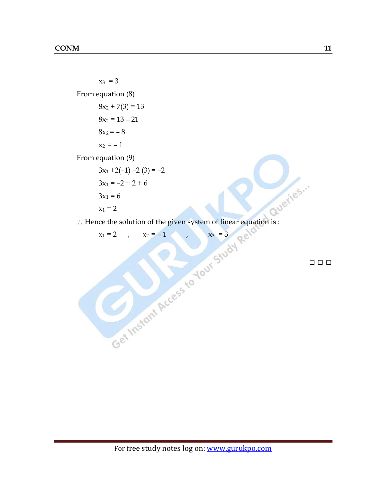$x_3 = 3$ From equation (8)  $8x_2 + 7(3) = 13$  $8x_2 = 13 - 21$  $8x_2 = -8$  $x_2 = -1$ From equation (9)  $3x_1 + 2(-1) - 2(3) = -2$  $3x_1 = -2 + 2 + 6$  $3x_1 = 6$  $x_1 = 2$  $3x_1 = 6$ <br> $x_1 = 2$ <br> $\therefore$  Hence the solution of the given system of linear equation is : Set Instant Access to Your Study Relations □ □ □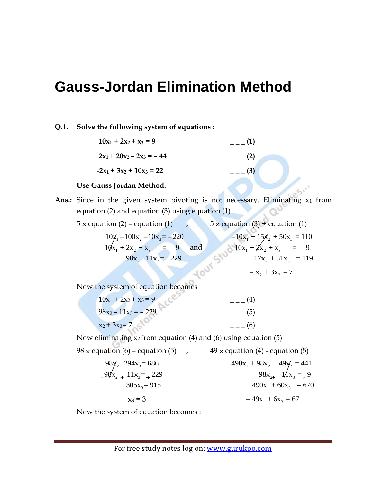# **Gauss-Jordan Elimination Method**

**Q.1. Solve the following system of equations :**

| $10x_1 + 2x_2 + x_3 = 9$    | $=$ $ (1)$    |
|-----------------------------|---------------|
| $2x_1 + 20x_2 - 2x_3 = -44$ | $=$ $=$ $(2)$ |
| $-2x_1 + 3x_2 + 10x_3 = 22$ | (3)           |

#### **Use Gauss Jordan Method.**

**Ans.:** Since in the given system pivoting is not necessary. Eliminating  $x_1$  from equation (2) and equation (3) using equation (1)

 $5 \times$  equation (2) – equation (1) ,  $5 \times$  equation (3) + equation (1)  $x_1 - 100x_2 - 10x_3$  $x_1 + 2x_2 + x_3$  $2 - 11x_3$  $10\chi_1 - 100\chi_2 - 10\chi_3 = -220$  $10x_1 + 2x_2 + x_3 = 9$  $\frac{144}{1} \frac{124}{24} \frac{14}{3} \frac{12}{3} - 229$ <br>98x<sub>2</sub>-11x<sub>3</sub>=-229  $x_1 - 100x_2 - 10x$  $x_1 + 2x_2 + x$  $\frac{2-1}{x_2-11x}$  and  $1 + 15x_2 + 50x_3$  $x_1 + 2x_2 + x_3$  $_2 + 51x_3$  $10x_1 + 15x_2 + 50x_3 = 110$  $10x_1 + 2x_2 + x_3 = 9$  $\frac{10x_1 + 2x_2 + x_3}{17x_2 + 51x_3} = 119$  $x_1 + 15x_2 + 50x$  $x_1 + 2x_2 + x$  $\frac{x_2 + x_3}{x_2 + 51x}$  $= x_2 + 3x_3 = 7$ 

Now the system of equation becomes

$$
10x_1 + 2x_2 + x_3 = 9
$$
  
\n
$$
98x_2 - 11x_3 = -229
$$
  
\n
$$
x_2 + 3x_3 = 7
$$
  
\n
$$
-(-1)
$$
  
\n
$$
-(-1)
$$
  
\n
$$
-(-1)
$$
  
\n
$$
-(-1)
$$
  
\n
$$
-(-1)
$$
  
\n
$$
-(-1)
$$
  
\n
$$
-(-1)
$$
  
\n
$$
-(-1)
$$

Now eliminating  $x_2$  from equation (4) and (6) using equation (5) 98  $\times$  equation (6) – equation (5) , 49  $\times$  equation (4) – equation (5)  $2 + 294x_3$  $_{2}$   $\mp$   $11x_{3}$ 3  $98\chi_2+294\chi_3=686$  $-98x_2$  +  $11x_3$  =  $+229$  $\frac{24}{305x_3} = 915$  $x_2 + 294x$  $x_2 + 11x$ x  $1 + 98x_2 + 49x_3$  $v_1 - 1/x_3$  $t_1 + 60x_3$  $490x_1 + 98x_2 + 49x_3 = 441$  $98x_{2+}$   $1/x_3 = 9$  $\frac{56x_{2+}+47x_3-1}{490x_1+60x_3}=670$  $x_1 + 98x_2 + 49x$  $\frac{x}{1}$   $\frac{y}{1}$  $\frac{3x_{2+}}{x_1+60x}$  $x_3 = 3$  = 49 $x_1 + 6x_3 = 67$ 

Now the system of equation becomes :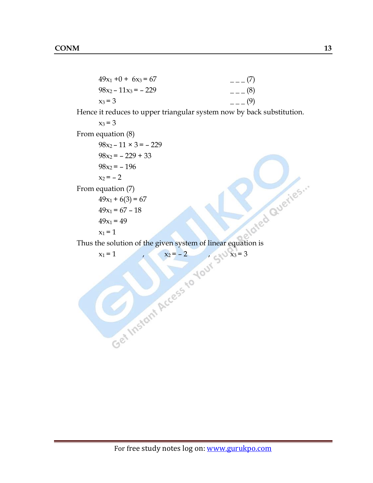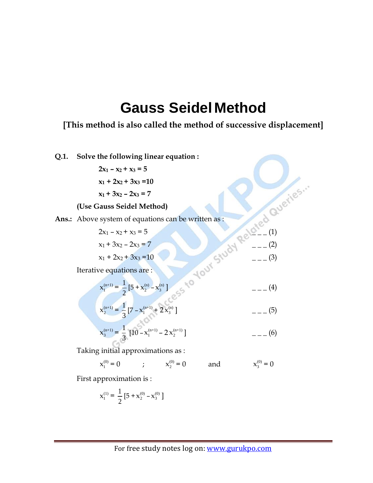# **Gauss Seidel Method**

**[This method is also called the method of successive displacement]**

**Q.1. Solve the following linear equation :**

 $2x_1 - x_2 + x_3 = 5$ 

 $x_1 + 2x_2 + 3x_3 = 10$ 

$$
x_1 + 3x_2 - 2x_3 = 7
$$

### **(Use Gauss Seidel Method)**

Ans.: Above system of equations can be written as :

 $2x_1 - x_2 + x_3 = 5$  (1) x1 + 3x<sup>2</sup> – 2x<sup>3</sup> = 7 \_ \_ \_ (2)

 $x_1 + 2x_2 + 3x_3 = 10$   $(3)$ 

Iterative equations are :

$$
x_1^{(n+1)} = \frac{1}{2} \left[ 5 + x_2^{(n)} - x_3^{(n)} \right]_{\text{e} \in \mathbb{S}^5} \approx 0 \qquad (4)
$$

$$
x_2^{(n+1)} = \frac{1}{3} \left[ 7 - x_1^{(n+1)} + 2 x_3^{(n)} \right] \qquad \qquad ---(5)
$$

$$
x_3^{(n+1)} = \frac{1}{3} [10 - x_1^{(n+1)} - 2x_2^{(n+1)}] \qquad \qquad ---(6)
$$

Taking initial approximations as :

$$
x_1^{(0)} = 0
$$
 ;  $x_2^{(0)} = 0$  and  $x_3^{(0)} = 0$ 

First approximation is :

$$
x_1^{(1)} = \frac{1}{2} \left[ 5 + x_2^{(0)} - x_3^{(0)} \right]
$$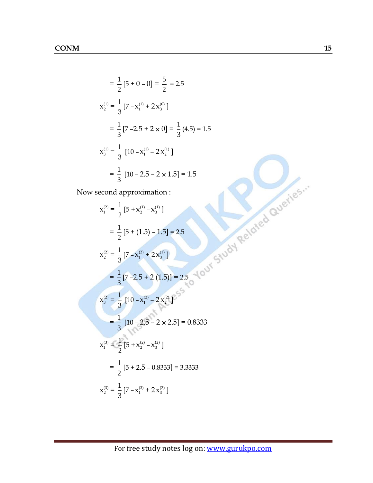$$
= \frac{1}{2} [5 + 0 - 0] = \frac{5}{2} = 2.5
$$
  
\n
$$
x_2^{(1)} = \frac{1}{3} [7 - x_1^{(1)} + 2 x_3^{(0)}]
$$
  
\n
$$
= \frac{1}{3} [7 - 2.5 + 2 \times 0] = \frac{1}{3} (4.5) = 1.5
$$
  
\n
$$
x_3^{(1)} = \frac{1}{3} [10 - x_1^{(1)} - 2 x_2^{(1)}]
$$
  
\n
$$
= \frac{1}{3} [10 - 2.5 - 2 \times 1.5] = 1.5
$$

Now second approximation :

$$
x_1^{(2)} = \frac{1}{2} [5 + x_2^{(1)} - x_3^{(1)}]
$$
  
\n
$$
= \frac{1}{2} [5 + (1.5) - 1.5] = 2.5
$$
  
\n
$$
x_2^{(2)} = \frac{1}{3} [7 - x_1^{(2)} + 2x_3^{(1)}]
$$
  
\n
$$
= \frac{1}{3} [7 - 2.5 + 2 (1.5)] = 2.5
$$
  
\n
$$
x_3^{(2)} = \frac{1}{3} [10 - x_1^{(2)} - 2x_2^{(2)}]
$$
  
\n
$$
= \frac{1}{3} [10 - 2.5 - 2 \times 2.5] = 0.8333
$$
  
\n
$$
x_1^{(3)} = \frac{1}{2} [5 + x_2^{(2)} - x_3^{(2)}]
$$
  
\n
$$
= \frac{1}{2} [5 + 2.5 - 0.8333] = 3.3333
$$
  
\n
$$
x_2^{(3)} = \frac{1}{3} [7 - x_1^{(3)} + 2x_3^{(2)}]
$$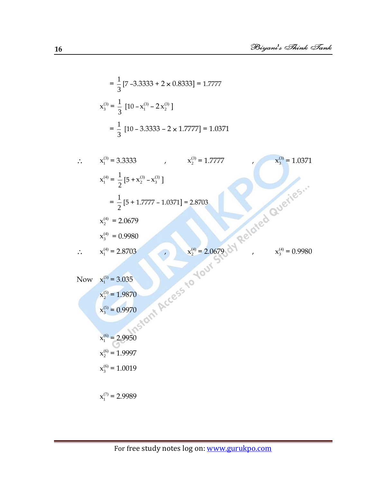$$
= \frac{1}{3} [7 - 3.3333 + 2 \times 0.8333] = 1.7777
$$
  

$$
x_3^{(3)} = \frac{1}{3} [10 - x_1^{(3)} - 2x_2^{(3)}]
$$
  

$$
= \frac{1}{3} [10 - 3.3333 - 2 \times 1.7777] = 1.0371
$$

$$
x_1^{(3)} = 3.3333
$$
  
\n
$$
x_1^{(4)} = \frac{1}{2} [5 + x_2^{(3)} - x_3^{(3)}]
$$
  
\n
$$
= \frac{1}{2} [5 + 1.7777 - 1.0371] = 2.8703
$$
  
\n
$$
x_2^{(4)} = 2.0679
$$
  
\n
$$
x_3^{(4)} = 0.9980
$$
  
\n
$$
\therefore x_1^{(4)} = 2.8703
$$
  
\nNow 
$$
x_3^{(5)} = 3.035
$$
  
\n
$$
x_2^{(5)} = 1.9870
$$
  
\n
$$
x_3^{(6)} = 0.9970
$$
  
\n
$$
x_3^{(6)} = 1.9997
$$
  
\n
$$
x_3^{(6)} = 1.9997
$$
  
\n
$$
x_3^{(7)} = 2.9989
$$
  
\n
$$
x_1^{(8)} = 2.9989
$$
  
\n
$$
x_1^{(9)} = 2.9989
$$
  
\n
$$
x_1^{(9)} = 2.9989
$$
  
\n
$$
x_1^{(9)} = 2.9989
$$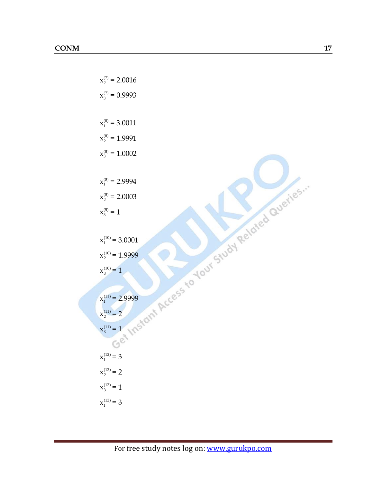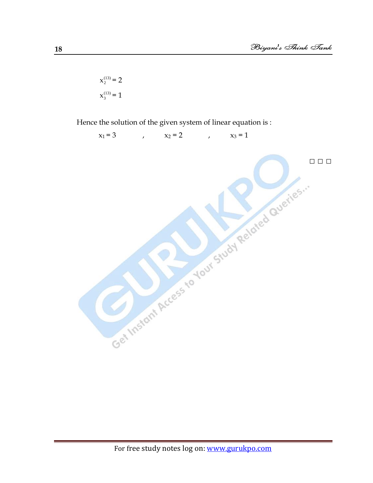$x_2^{(13)} = 2$  $x_3^{(13)} = 1$ 

Hence the solution of the given system of linear equation is :

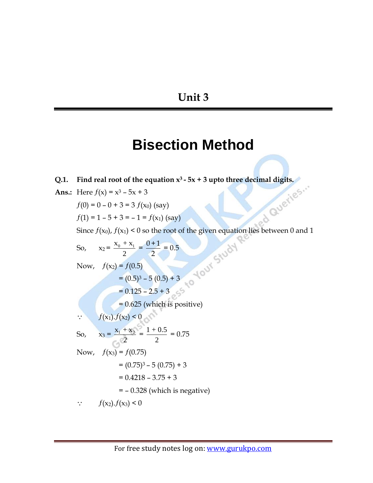# **Unit 3**

# **Bisection Method**

**Q.1.** Find real root of the equation  $x^3 - 5x + 3$  upto three decimal digits.<br>Ans.: Here  $f(x) = x^3 - 5x + 3$ <br> $f(0) = 0 - 0 + 3 = 3 f(x_0)$  (say)<br> $f(1) = 1 - 5 + 3 = -1 - 4$ **Ans.:** Here  $f(x) = x^3 - 5x + 3$  $f(0) = 0 - 0 + 3 = 3 f(x_0)$  (say)  $f(1) = 1 - 5 + 3 = -1 = f(x_1)$  (say) Since  $f(x_0)$ ,  $f(x_1) < 0$  so the root of the given equation lies between 0 and 1 So,  $x_2 = \frac{x_0 + x_1}{2}$ 2  $\frac{x_0 + x_1}{2} = \frac{0 + 1}{2}$ 2  $= 0.5$ Now,  $f(x_2) = f(0.5)$  $= (0.5)^3 - 5 (0.5) + 3$  $= 0.125 - 2.5 + 3$  $= 0.625$  (which is positive)  $\therefore$   $f(x_1) \cdot f(x_2) < 0$ So,  $x_3 = \frac{x_1 + x_2}{2}$ 2  $\frac{x_1 + x_2}{2}$  =  $1 + 0.5$ 2 = 0.75 Now,  $f(x_3) = f(0.75)$  $=(0.75)^3 - 5(0.75) + 3$  $= 0.4218 - 3.75 + 3$  = – 0.328 (which is negative)  $\cdot$ :  $f(x_2) \cdot f(x_3) \leq 0$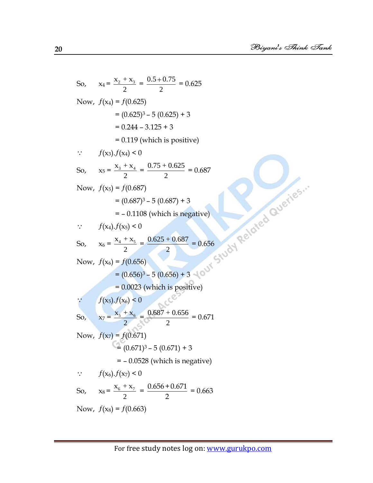So,  $x_4 = \frac{x_2 + x_3}{2}$ 2  $\frac{x_2 + x_3}{2} = \frac{0.5 + 0.75}{2}$ 2  $= 0.625$ Now,  $f(x_4) = f(0.625)$  $= (0.625)^3 - 5 (0.625) + 3$  $= 0.244 - 3.125 + 3$  = 0.119 (which is positive)  $\therefore$   $f(x_3) \cdot f(x_4) < 0$ So,  $x_5 = \frac{x_3 + x_4}{2} = \frac{0.75 + 0.625}{2} = 0.687$ 2 2 Now,  $f(x_5) = f(0.687)$  $=(0.687)^3 - 5(0.687) + 3$  = – 0.1108 (which is negative)  $\cdot$ :  $f(x_4) \cdot f(x_5) \leq 0$ So,  $x_6 = \frac{x_4 + x_5}{2} = \frac{0.625 + 0.687}{2} = 0.656$  $_4 + x_5$ 2  $\frac{x_4 + x_5}{2} = \frac{0.625 + 0.687}{2}$ 2  $= 0.656$ Now,  $f(x_6) = f(0.656)$  $= (0.656)^3 - 5 (0.656) + 3$  $= 0.0023$  (which is positive)  $\therefore$   $f(x_5) \cdot f(x_6) < 0$ So,  $x_7 =$  $\frac{x_5 + x_6}{2} = \frac{0.687 + 0.656}{2} = 0.671$ 2<sup>2</sup> Now,  $f(x_7) = f(0.671)$  $= (0.671)^3 - 5 (0.671) + 3$  $=$  – 0.0528 (which is negative)  $\therefore$   $f(x_6) \cdot f(x_7) < 0$ So,  $x_8 = \frac{x_6 + x_7}{2}$ 2  $\frac{x_6 + x_7}{2} = \frac{0.656 + 0.671}{2}$ 2  $= 0.663$ Now,  $f(x_8) = f(0.663)$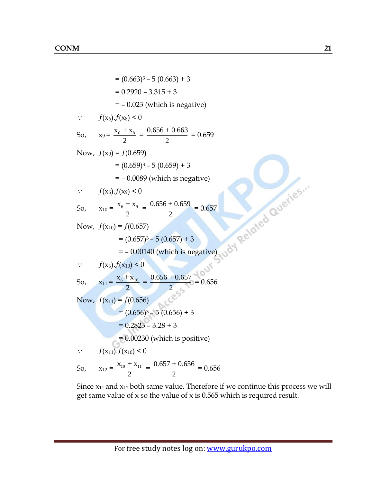$= (0.663)^3 - 5 (0.663) + 3$  $= 0.2920 - 3.315 + 3$  $=$  – 0.023 (which is negative)  $\frac{1}{2}$  ,  $\frac{1}{2}$  $f(x_6) f(x_8) < 0$ So,  $x_9 = \frac{x_6 + x_8}{2}$ 2  $\frac{x_6 + x_8}{2} = \frac{0.656 + 0.663}{2}$ 2  $= 0.659$ Now,  $f(x_9) = f(0.659)$  $=(0.659)^3 - 5(0.659) + 3$  = – 0.0089 (which is negative)  $\therefore$   $f(x_6) \cdot f(x_9) < 0$ So,  $x_{10} = \frac{x_6 + x_9}{2} = \frac{0.656 + 0.659}{2} = 0.657$  $_6 + x_9$ 2  $\frac{x_6 + x_9}{2} = \frac{0.656 + 0.659}{2}$ 2  $= 0.657$ Now,  $f(x_{10}) = f(0.657)$  $=(0.657)^3 - 5(0.657) + 3$  $=$   $-$  0.00140 (which is negative)  $\cdot$ :  $f(x_6) f(x_{10}) < 0$ So,  $x_{11} = \frac{x_6 + x_{10}}{2} = \frac{0.656 + 0.657}{2} = 0.656$  $x_6 + x_{10}$ 2  $=\frac{0.656 + 0.657}{2}$ 2  $= 0.656$ Now,  $f(x_{11}) = f(0.656)$  $=(0.656)^3 - 5(0.656) + 3$  $= 0.2823 - 3.28 + 3$  = 0.00230 (which is positive)  $\ddot{\cdot}$  $f(x_{11}).f(x_{10}) < 0$ So,  $x_{12} = \frac{x_{10} + x_{11}}{2}$ 2  $\frac{x_{10} + x_{11}}{2}$  =  $0.657 + 0.656$ 2  $= 0.656$ 

Since  $x_{11}$  and  $x_{12}$  both same value. Therefore if we continue this process we will get same value of  $x$  so the value of  $x$  is 0.565 which is required result.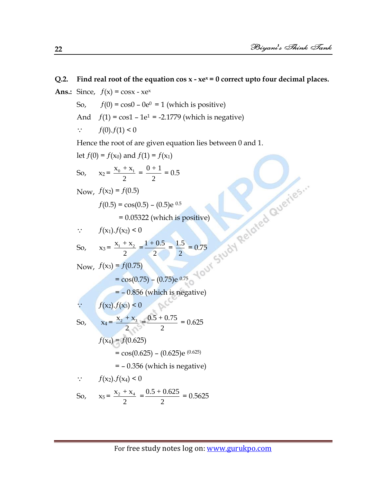Ė

## **Q.2. Find real root of the equation cos x - xex = 0 correct upto four decimal places.**

Ans.: Since, 
$$
f(x) = \cos x - xe^x
$$
  
\nSo,  $f(0) = \cos 0 - 0e^0 = 1$  (which is positive)  
\nAnd  $f(1) = \cos 1 - 1e^1 = -2.1779$  (which is negative)  
\n $\therefore f(0), f(1) < 0$   
\nHence the root of are given equation lies between 0 and 1.  
\nlet  $f(0) = f(x_0)$  and  $f(1) = f(x_1)$   
\nSo,  $x_2 = \frac{x_0 + x_1}{2} = \frac{0 + 1}{2} = 0.5$   
\nNow,  $f(x_2) = f(0.5)$   
\n $f(0.5) = \cos(0.5) - (0.5)e^{-0.5}$   
\n $= 0.05322$  (which is positive)  
\n $\therefore f(x_1).f(x_2) < 0$   
\nSo,  $x_3 = \frac{x_1 + x_2}{2} = \frac{1 + 0.5}{2} = \frac{1.5}{2} = 0.75$   
\nNow,  $f(x_3) = f(0.75)$   
\n $= \cos(0.75) - (0.75)e^{-0.75}$   
\n $= -0.856$  (which is negative)  
\n $\therefore f(x_2).f(x_3) < 0$   
\nSo,  $x_4 = \frac{x_2 + x_3}{2} = \frac{0.5 + 0.75}{2} = 0.625$   
\n $f(x_4) = f(0.625)$   
\n $= \cos(0.625) - (0.625)e^{(0.625)}$   
\n $= -0.356$  (which is negative)  
\n $\therefore f(x_2).f(x_4) < 0$   
\nSo,  $x_5 = \frac{x_2 + x_4}{2} = \frac{0.5 + 0.625}{2} = 0.5625$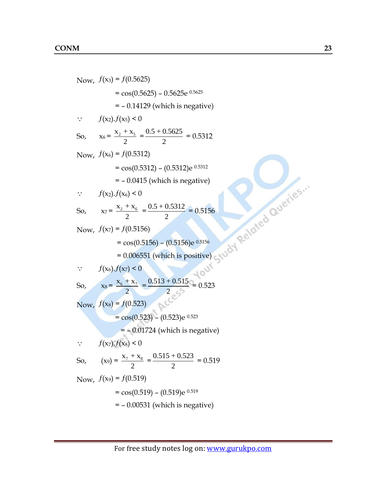Now, 
$$
f(x_3) = f(0.5625)
$$
  
\t= cos(0.5625) - 0.5625e<sup>0.5625</sup>  
\t= -0.14129 (which is negative)  
\t $\therefore$   $f(x_2) \cdot f(x_3) < 0$   
\nSo,  $x_6 = \frac{x_2 + x_5}{2} = \frac{0.5 + 0.5625}{2} = 0.5312$   
\tNow,  $f(x_6) = f(0.5312)$   
\t= cos(0.5312) - (0.5312)e<sup>0.5312</sup>  
\t= -0.0415 (which is negative)  
\t $\therefore$   $f(x_2) \cdot f(x_6) < 0$   
\nSo,  $x_7 = \frac{x_2 + x_6}{2} = \frac{0.5 + 0.5312}{2} = 0.5156$   
\t= cos(0.5156) - (0.5156)e<sup>0.5156</sup>  
\t= cos(0.5156) - (0.5156)e<sup>0.5156</sup>  
\t= 0.006551 (which is positive)  
\t $\therefore$   $f(x_6) \cdot f(x_7) < 0$   
\nSo,  $x_8 = \frac{x_6 + x_7}{2} = \frac{0.513 + 0.515}{2} = 0.523$   
\nNow,  $f(x_8) = f(0.523)$   
\t= cos(0.523) - (0.523)e<sup>0.523</sup>  
\t= -0.01724 (which is negative)  
\t $\therefore$   $f(x_7) \cdot f(x_8) < 0$   
\nSo,  $(x_9) = \frac{x_7 + x_8}{2} = \frac{0.515 + 0.523}{2} = 0.519$   
\nNow,  $f(x_9) = f(0.519)$   
\t= cos(0.519) - (0.519)e<sup>0.519</sup>  
\t= -0.00531 (which is negative)

Ė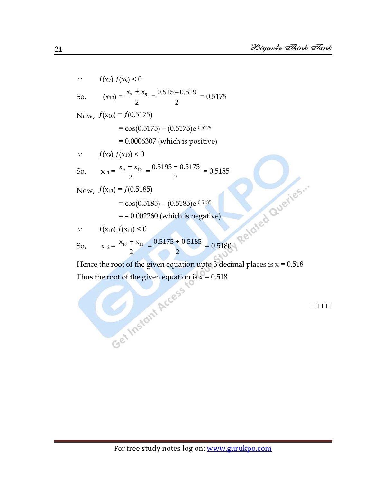F(xe)  $f(x_0) = 6$ <br>
So,  $(x_0) = \frac{x_2 + x_3}{2} = \frac{0.515 + 0.519}{2} = 0.5175$ <br>
Now,  $f(x_{00}) = f(0.5175) = (0.5175)e^{0.5175}$ <br>  $= \cos(0.5175) - (0.5175)e^{0.5175}$ <br>  $\therefore f(x_0) \cdot f(x_{00}) < 0$ <br>
So,  $x_{11} = \frac{x_4 + x_0}{2} = \frac{0.5195 + 0.5175}{2} = 0.5185$ <br>  $f(x_7) \cdot f(x_9) \leq 0$ So,  $(x_{10}) = \frac{x_7 + x_9}{2}$ 2  $\frac{x_7 + x_9}{2} = \frac{0.515 + 0.519}{2}$ 2  $= 0.5175$ Now,  $f(x_{10}) = f(0.5175)$  $=$  cos(0.5175) – (0.5175)e 0.5175  $= 0.0006307$  (which is positive)  $\ddot{\cdot}$  $f(x_9) \cdot f(x_{10}) < 0$ So,  $x_{11} = \frac{x_9 + x_{10}}{2} = \frac{0.5195 + 0.5175}{2} = 0.5185$ 2 2 Now,  $f(x_{11}) = f(0.5185)$  $=$  cos(0.5185) – (0.5185)e 0.5185 = – 0.002260 (which is negative)  $\ddot{\cdot}$  $f(x_{10}).f(x_{11}) \leq 0$ So,  $x_{12} = \frac{x_{10} + x_{11}}{2}$ 2  $\frac{x_{10} + x_{11}}{2} = \frac{0.5175 + 0.5185}{2}$ 2  $= 0.5180$ 

Hence the root of the given equation upto 3 decimal places is  $x = 0.518$ Thus the root of the given equation is  $x = 0.518$ <br>  $\text{Rg}^2$ 

□ □ □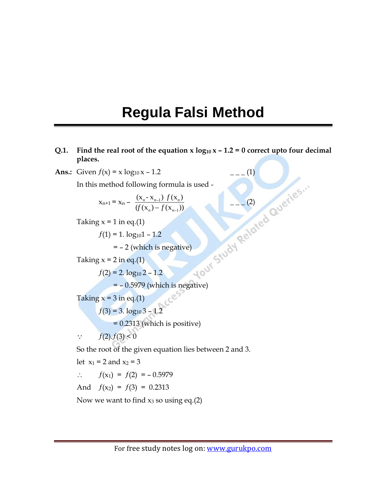# **Regula Falsi Method**

- **Q.1.** Find the real root of the equation x  $\log_{10} x 1.2 = 0$  correct upto four decimal **places.**
- **Ans.:** Given  $f(x) = x \log_{10} x 1.2$

In this method following formula is used -

$$
x_{n+1} = x_n - \frac{(x_n - x_{n-1}) f(x_n)}{(f(x_n) - f(x_{n-1}))}
$$
 --- (2)

Taking  $x = 1$  in eq.(1)

 $f(1) = 1. \log_{10} 1 - 1.2$ 

= – 2 (which is negative)

Taking  $x = 2$  in eq.(1)

 $f(2) = 2. \log_{10} 2 - 1.2$ 

= – 0.5979 (which is negative)

Taking  $x = 3$  in eq.(1)

 $f(3) = 3. \log_{10} 3 - 1.2$ 

 $= 0.2313$  (which is positive)

 $\ddot{\cdot}$  $f(2).f(3) < 0$ 

So the root of the given equation lies between 2 and 3.

let  $x_1 = 2$  and  $x_2 = 3$ 

$$
\therefore \qquad f(x_1) = f(2) = -0.5979
$$

And  $f(x_2) = f(3) = 0.2313$ 

Now we want to find  $x_3$  so using eq.(2)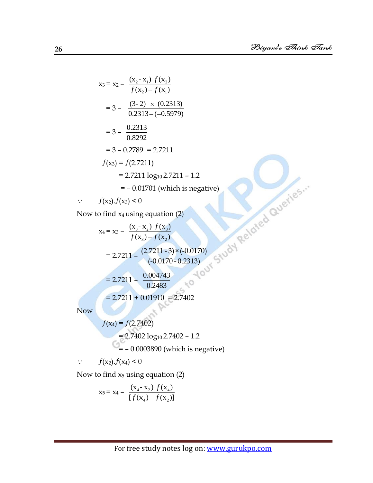$$
x_3 = x_2 - \frac{(x_2 - x_1) f(x_2)}{f(x_2) - f(x_1)}
$$
  
= 3 -  $\frac{(3-2) \times (0.2313)}{0.2313 - (-0.5979)}$   
= 3 -  $\frac{0.2313}{0.8292}$   
= 3 - 0.2789 = 2.7211  
 $f(x_3) = f(2.7211)$   
= 2.7211 log<sub>10</sub> 2.7211 - 1.2  
= - 0.01701 (which is negative)  
 $\therefore f(x_2).f(x_3) < 0$   
Now to find x<sub>4</sub> using equation (2)

$$
x_4 = x_3 - \frac{(x_3 - x_2) f(x_3)}{f(x_3) - f(x_2)}
$$
  
= 2.7211 -  $\frac{(2.7211 - 3) \times (-0.0170)}{(-0.0170 - 0.2313)}$   
= 2.7211 -  $\frac{0.004743}{0.2483}$   
= 2.7211 + 0.01910 = 2.7402  
Now  
 $f(x_4) = f(2.7402)$   
= 2.7402 log<sub>10</sub> 2.7402 - 1.2  
= -0.0003890 (which is negative)

 $\ddot{\cdot}$  $f(x_2) f(x_4) < 0$ 

Now to find  $x_5$  using equation (2)

$$
x_5 = x_4 - \frac{(x_4 - x_2) f(x_4)}{[f(x_4) - f(x_2)]}
$$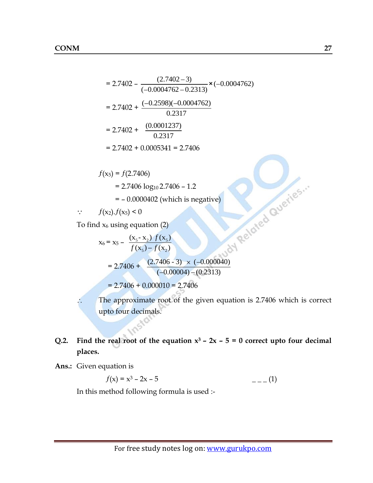$$
= 2.7402 - \frac{(2.7402 - 3)}{(-0.0004762 - 0.2313)} \times (-0.0004762)
$$
  
\n
$$
= 2.7402 + \frac{(-0.2598)(-0.0004762)}{0.2317}
$$
  
\n
$$
= 2.7402 + \frac{(0.0001237)}{0.2317}
$$
  
\n
$$
= 2.7402 + 0.0005341 = 2.7406
$$
  
\n
$$
f(x_5) = f(2.7406)
$$
  
\n
$$
= 2.7406 \log_{10} 2.7406 - 1.2
$$
  
\n
$$
= -0.0000402 \text{ (which is negative)}
$$
  
\n
$$
f(x_2) \cdot f(x_5) < 0
$$
  
\n
$$
x_6 \text{ using equation (2)}
$$
  
\n
$$
x_6 = x_5 - \frac{(x_5 - x_2) f(x_5)}{f(x_5) - f(x_2)}
$$
  
\n
$$
x_6 = 2.7406 - 3.1 \times (-0.0009040)
$$

$$
f(x_5) = f(2.7406)
$$
  
= 2.7406 log<sub>10</sub> 2.7406 - 1.2  
= - 0.0000402 (which is negative)  

$$
\therefore f(x_2).f(x_5) < 0
$$

To find  $x_6$  using equation (2)

$$
x_6 = x_5 - \frac{(x_5 - x_2) f(x_5)}{f(x_5) - f(x_2)}
$$
  
= 2.7406 +  $\frac{(2.7406 - 3) \times (-0.000040)}{(-0.00004) - (0.2313)}$   
= 2.7406 + 0.000010 = 2.7406

The approximate root of the given equation is 2.7406 which is correct upto four decimals.

### Q.2. Find the real root of the equation  $x^3 - 2x - 5 = 0$  correct upto four decimal **places.**

**Ans.:** Given equation is

$$
f(x) = x^3 - 2x - 5 \tag{1}
$$

In this method following formula is used :-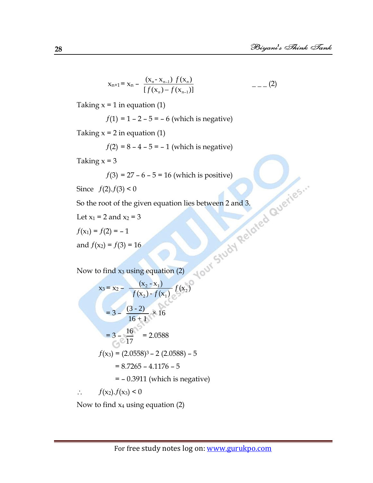$$
x_{n+1} = x_n - \frac{(x_n - x_{n-1}) f(x_n)}{[f(x_n) - f(x_{n-1})]}
$$
 --- (2)

Taking  $x = 1$  in equation (1)

 $f(1) = 1 - 2 - 5 = -6$  (which is negative)

Taking  $x = 2$  in equation (1)

 $f(2) = 8 - 4 - 5 = -1$  (which is negative)

Taking  $x = 3$ 

$$
f(3) = 27 - 6 - 5 = 16
$$
 (which is positive)

Since  $f(2) \cdot f(3) < 0$ 

So the root of the given equation lies between 2 and 3.

Let 
$$
x_1 = 2
$$
 and  $x_2 = 3$ 

$$
f(x_1) = f(2) = -1
$$
  
and  $f(x_2) = f(3) = 16$ 

Now to find  $x_3$  using equation (2)

$$
x_3 = x_2 - \frac{(x_2 - x_1)}{f(x_2) - f(x_1)} f(x_2)
$$
  
= 3 -  $\frac{(3 - 2)}{16 + 1} \times 16$   
= 3 -  $\frac{16}{17}$  = 2.0588  
 $f(x_3) = (2.0558)^3 - 2 (2.0588) - 5$   
= 8.7265 - 4.1176 - 5  
= - 0.3911 (which is negative)  
 $\therefore f(x_2).f(x_3) < 0$ 

Now to find  $x_4$  using equation (2)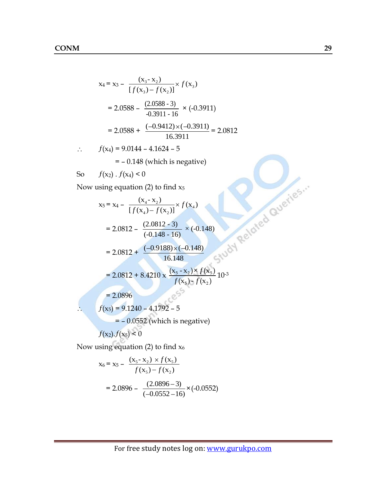$$
x_4 = x_3 - \frac{(x_3 - x_2)}{[f(x_3) - f(x_2)]} \times f(x_3)
$$
  
\n= 2.0588 -  $\frac{(2.0588 - 3)}{-0.3911 - 16} \times (-0.3911)$   
\n= 2.0588 +  $\frac{(-0.9412) \times (-0.3911)}{16.3911} = 2.0812$   
\n $\therefore f(x_4) = 9.0144 - 4.1624 - 5$   
\n= -0.148 (which is negative)  
\nSo  $f(x_2) \cdot f(x_4) < 0$   
\nNow using equation (2) to find xs  
\n
$$
x_5 = x_4 - \frac{(x_4 - x_2)}{[f(x_4) - f(x_2)]} \times f(x_4)
$$
  
\n= 2.0812 -  $\frac{(2.0812 - 3)}{(-0.148 - 16)} \times (-0.148)$   
\n= 2.0812 +  $\frac{(-0.9188) \times (-0.148)}{16.148}$   
\n= 2.0812 + 8.4210 x  $\frac{(x_5 - x_2) \times f(x_5)}{f(x_5) - f(x_2)}$  10<sup>-3</sup>  
\n= 2.0896  
\n $\therefore f(x_5) = 9.1240 - 4.1792 - 5$   
\n= -0.0552 (which is negative)  
\n $f(x_2) \cdot f(x_5) < 0$   
\nNow using equation (2) to find x<sub>6</sub>  
\n $x_6 = x_5 - \frac{(x_5 - x_2) \times f(x_5)}{f(x_5) - f(x_2)}$ 

$$
= 2.0896 - \frac{(2.0896 - 3)}{(-0.0552 - 16)} \times (-0.0552)
$$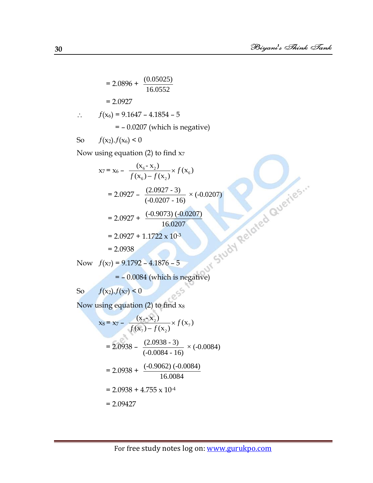$$
= 2.0896 + \frac{(0.05025)}{16.0552}
$$
  

$$
= 2.0927
$$
  

$$
\therefore f(x_6) = 9.1647 - 4.1854 - 5
$$
  

$$
= -0.0207 \text{ (which is negative)}
$$
  
So  $f(x_2) \cdot f(x_6) < 0$   
Now using equation (2) to find  $x_7$ 

$$
x_7 = x_6 - \frac{(x_6 - x_2)}{f(x_6) - f(x_2)} \times f(x_6)
$$
  
= 2.0927 -  $\frac{(2.0927 - 3)}{(-0.0207 - 16)} \times (-0.0207)$   
= 2.0927 +  $\frac{(-0.9073) (-0.0207)}{16.0207}$   
= 2.0927 + 1.1722 x 10<sup>-3</sup>  
= 2.0938

Now 
$$
f(x_7) = 9.1792 - 4.1876 - 5
$$

 $= -0.0084$  (which is negative)

So  $f(x_2) \cdot f(x_7) < 0$ 

Now using equation  $(2)$  to find  $x_8$ 

$$
x_8 = x_7 - \frac{(x_7 - x_2)}{f(x_7) - f(x_2)} \times f(x_7)
$$
  
= 2.0938 - \frac{(2.0938 - 3)}{(-0.0084 - 16)} \times (-0.0084)  
= 2.0938 + \frac{(-0.9062) (-0.0084)}{16.0084}  
= 2.0938 + 4.755 \times 10<sup>-4</sup>  
= 2.09427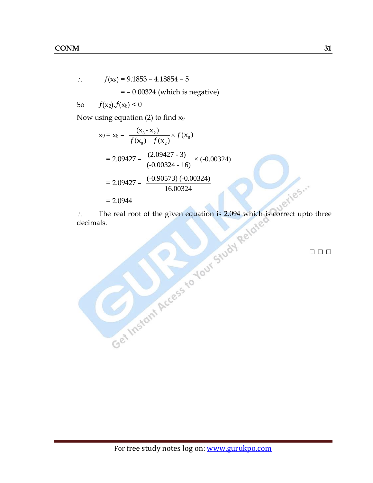$$
f(x_8) = 9.1853 - 4.18854 - 5
$$

$$
=
$$
 – 0.00324 (which is negative)

So  $f(x_2) \cdot f(x_8) < 0$ 

Now using equation (2) to find x<sup>9</sup>

$$
x_9 = x_8 - \frac{(x_8 - x_2)}{f(x_8) - f(x_2)} \times f(x_8)
$$
  
= 2.09427 -  $\frac{(2.09427 - 3)}{(-0.00324 - 16)} \times (-0.00324)$   
= 2.09427 -  $\frac{(-0.90573) (-0.00324)}{16.00324}$ 

 $= 2.0944$ 

The real root of the given equation is 2.094 which is correct upto three  $\mathcal{L}_{\bullet}$ decimals.

□ □ □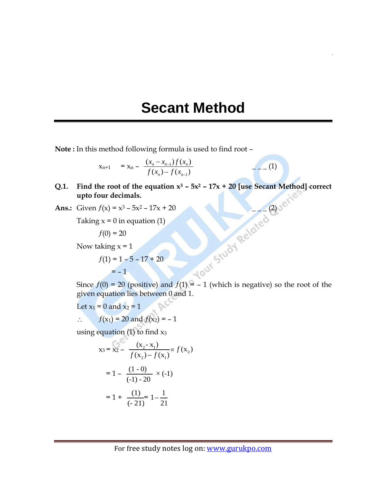# **Secant Method**

**Note :** In this method following formula is used to find root –

$$
x_{n+1} = x_n - \frac{(x_n - x_{n-1})f(x_n)}{f(x_n) - f(x_{n-1})}
$$

Meth. **Q.1.** Find the root of the equation  $x^3 - 5x^2 - 17x + 20$  [use Secant Method] correct **upto four decimals.**

 $\frac{1}{2}$   $\frac{1}{2}$  (1)

**Ans.:** Given  $f(x) = x^3 - 5x^2 - 17x + 20$ 

Taking  $x = 0$  in equation (1)

 $f(0) = 20$ 

Now taking  $x = 1$ 

$$
f(1) = 1 - 5 - 17 + 20
$$

$$
= -1
$$

Since  $f(0) = 20$  (positive) and  $f(1) = -1$  (which is negative) so the root of the given equation lies between 0 and 1.

Let  $x_1 = 0$  and  $x_2 = 1$ 

$$
f(x_1) = 20 \text{ and } f(x_2) = -1
$$

using equation (1) to find  $x_3$ 

$$
x_3 = x_2 - \frac{(x_2 - x_1)}{f(x_2) - f(x_1)} \times f(x_2)
$$
  
= 1 -  $\frac{(1 - 0)}{(-1) - 20} \times (-1)$ 

$$
= 1 + \frac{(1)}{(-21)} = 1 - \frac{1}{21}
$$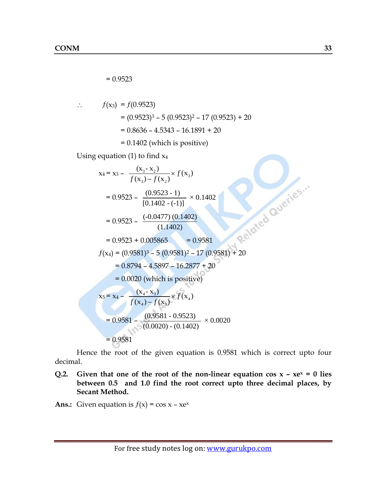$= 0.9523$ 

$$
f(x_3) = f(0.9523)
$$
  
= (0.9523)<sup>3</sup> – 5 (0.9523)<sup>2</sup> – 17 (0.9523) + 20  
= 0.8636 – 4.5343 – 16.1891 + 20  
= 0.1402 (which is positive)

Using equation (1) to find  $x_4$ 

$$
= 0.1402 \text{ (which is positive)}
$$
\nUsing equation (1) to find x<sub>4</sub>

\n
$$
x_4 = x_3 - \frac{(x_3 - x_2)}{f(x_3) - f(x_2)} \times f(x_3)
$$
\n
$$
= 0.9523 - \frac{(0.9523 - 1)}{[0.1402 - (-1)]} \times 0.1402
$$
\n
$$
= 0.9523 - \frac{(-0.0477)(0.1402)}{(1.1402)}
$$
\n
$$
= 0.9523 + 0.005865 = 0.9581
$$
\n
$$
f(x_4) = (0.9581)^3 - 5(0.9581)^2 - 17(0.9581) + 20
$$
\n
$$
= 0.8794 - 4.5897 - 16.2877 + 20
$$
\n
$$
= 0.0020 \text{ (which is positive)}
$$
\n
$$
x_5 = x_4 - \frac{(x_4 - x_3)}{f(x_4) - f(x_5)} \times f(x_4)
$$
\n
$$
= 0.9581 - \frac{(0.9581 - 0.9523)}{(0.0020) - (0.1402)} \times 0.0020
$$
\n
$$
= 0.9581
$$

Hence the root of the given equation is 0.9581 which is correct upto four decimal.

**Q.2.** Given that one of the root of the non-linear equation cos  $x - xe^x = 0$  lies **between 0.5 and 1.0 find the root correct upto three decimal places, by Secant Method.**

**Ans.:** Given equation is  $f(x) = \cos x - x e^x$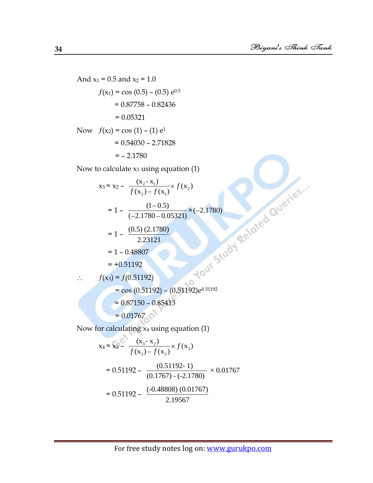And  $x_1 = 0.5$  and  $x_2 = 1.0$  $f(x_1) = \cos(0.5) - (0.5) e^{0.5}$  $= 0.87758 - 0.82436$  $= 0.05321$ Now  $f(x_2) = \cos(1) - (1) e^1$  $= 0.54030 - 2.71828$  $=-2.1780$ 

Now to calculate  $x_3$  using equation (1)

= 0.54030 - 2.71828  
\n= -2.1780  
\nNow to calculate x<sub>3</sub> using equation (1)  
\n
$$
x_3 = x_2 - \frac{(x_2 - x_1)}{f(x_2) - f(x_1)} \times f(x_2)
$$
\n= 1 -  $\frac{(1 - 0.5)}{(-2.1780 - 0.05321)} \times (-2.1780)$   
\n= 1 -  $\frac{(0.5)(2.1780)}{2.23121}$   
\n= 1 - 0.48807  
\n= +0.51192  
\n $\therefore$  f(x<sub>3</sub>) = f(0.51192)  
\n= cos (0.51192) - (0.51192)e<sup>0.51192</sup>  
\n= 0.87150 - 0.85413  
\n= 0.01767

Now for calculating  $x_4$  using equation (1)

$$
x_4 = x_3 - \frac{(x_3 - x_2)}{f(x_3) - f(x_2)} \times f(x_3)
$$
  
= 0.51192 - \frac{(0.51192 - 1)}{(0.1767) - (-2.1780)} \times 0.01767  
= 0.51192 - \frac{(-0.48808) (0.01767)}{2.19567}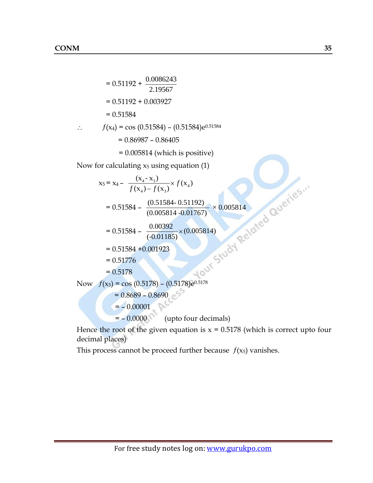$= 0.51192 + \frac{0.0086243}{0.18555}$ 2.19567  $= 0.51192 + 0.003927$  $= 0.51584$  $f(x_4) = \cos(0.51584) - (0.51584)e^{0.51584}$  $\mathcal{L}_{\star}$  $= 0.86987 - 0.86405$  $= 0.005814$  (which is positive) Now for calculating  $x_5$  using equation (1) Jour Study Related Queries...  $\frac{(\mathbf{x}_4 - \mathbf{x}_3)}{\mathbf{x}_4 - \mathbf{x}_5} \times f(\mathbf{x}_4)$  $\frac{(x_4 - x_3)}{(x_4) - f(x_3)} \times f(x_3)$  $x_5 = x_4 - \frac{(x_4 - x_3)}{x_5 - x_6}$  $\frac{(x_4 - x_3)}{f(x_4) - f(x_3)} \times f$  $_4$ ) –  $f(x_3)$  $= 0.51584 - \frac{(0.51584 - 0.51192)}{0.005814 - 0.005814} \times 0.005814$  $(0.005814 - 0.01767)$  $= 0.51584 - \frac{0.00392}{0.001485} \times (0.005814)$  $(-0.01185)$  $= 0.51584 + 0.001923$  $= 0.51776$  $= 0.5178$ Now  $f(x_5) = \cos(0.5178) - (0.5178)e^{0.5178}$  $= 0.8689 - 0.8690$  $= -0.00001$ 

 $=$  – 0.0000 (upto four decimals)

Hence the root of the given equation is  $x = 0.5178$  (which is correct upto four decimal places)

This process cannot be proceed further because  $f(x_5)$  vanishes.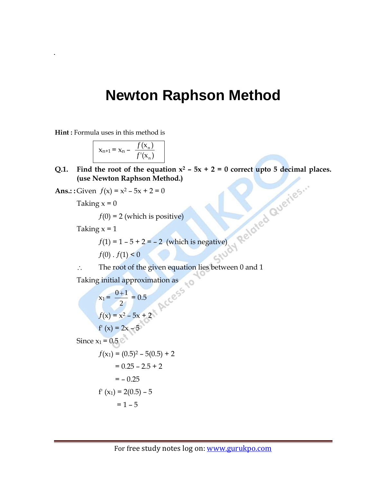# **Newton Raphson Method**

**Hint :** Formula uses in this method is

**36**

$$
x_{n+1} = x_n - \frac{f(x_n)}{f'(x_n)}
$$

- **Q.1.** Find the root of the equation  $x^2 5x + 2 = 0$  correct upto 5 decimal places. **(use Newton Raphson Method.)**
- **Ans.:**: Given  $f(x) = x^2 5x + 2 = 0$

Taking  $x = 0$ 

 $f(0)$  = 2 (which is positive)

Taking  $x = 1$ 

 $f(1) = 1 - 5 + 2 = -2$  (which is negative)

 $f(0)$ .  $f(1) < 0$ 

 $\mathcal{L}_{\star}$ The root of the given equation lies between 0 and 1

Taking initial approximation as

$$
x_1 = \frac{0+1}{2} = 0.5
$$
  
f(x) = x<sup>2</sup> - 5x + 2  
f'(x) = 2x - 5  
Since x<sub>1</sub> = 0.5  
f(x<sub>1</sub>) = (0.5)<sup>2</sup> - 5(0.5) + 2  
= 0.25 - 2.5 + 2  
= -0.25  
f'(x<sub>1</sub>) = 2(0.5) - 5  
= 1 - 5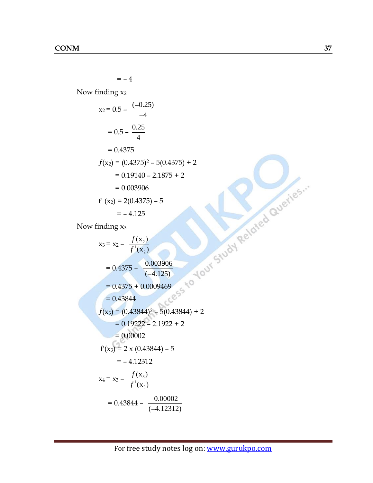$= -4$ 

Now finding x<sup>2</sup>

$$
x_2 = 0.5 - \frac{(-0.25)}{-4}
$$
  
= 0.5 -  $\frac{0.25}{4}$   
= 0.4375  
 $f(x_2) = (0.4375)^2 - 5(0.4375) + 2$   
= 0.19140 - 2.1875 + 2  
= 0.003906  
 $f'(x_2) = 2(0.4375) - 5$   
= - 4.125

Now finding x<sup>3</sup>

$$
x_3 = x_2 - \frac{f(x_2)}{f^1(x_2)}
$$
  
= 0.4375 -  $\frac{0.003906}{(-4.125)}$   
= 0.4375 + 0.0009469  
= 0.43844  
 $f(x_3) = (0.43844)^2 - 5(0.43844) + 2$   
= 0.19222 - 2.1922 + 2  
= 0.00002  
 $f'(x_3) = 2 \times (0.43844) - 5$   
= -4.12312  
 $x_4 = x_3 - \frac{f(x_3)}{f^1(x_3)}$   
= 0.43844 -  $\frac{0.00002}{(-4.12312)}$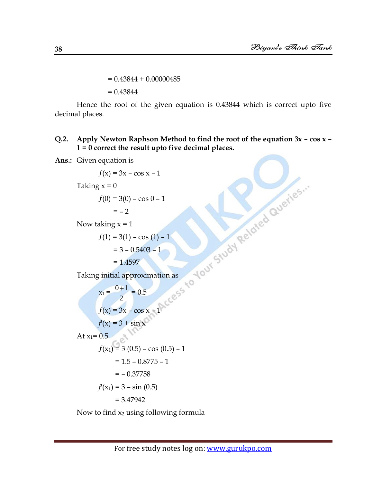$$
= 0.43844 + 0.00000485
$$

 $= 0.43844$ 

Hence the root of the given equation is 0.43844 which is correct upto five decimal places.

### **Q.2. Apply Newton Raphson Method to find the root of the equation 3x – cos x – 1 = 0 correct the result upto five decimal places.**

**Ans.:** Given equation is

 $f(x) = 3x - \cos x - 1$ Taking  $x = 0$  $f(0) = 3(0) - \cos 0 - 1$  $= -2$ Now taking  $x = 1$  $f(1) = 3(1) - \cos(1) - 1$  $= 3 - 0.5403 - 1$  $= 1.4597$ Taking initial approximation as  $x_1 =$  $0 + 1$ 2  $= 0.5$  $f(x) = 3x - \cos x - 1$  $f'(x) = 3 + \sin x$ At  $x_1 = 0.5$  $f(x_1) = 3(0.5) - \cos(0.5) - 1$  $= 1.5 - 0.8775 - 1$  $=$   $-$  0.37758  $f'(x_1) = 3 - \sin(0.5)$ 

 $= 3.47942$ 

Now to find x<sup>2</sup> using following formula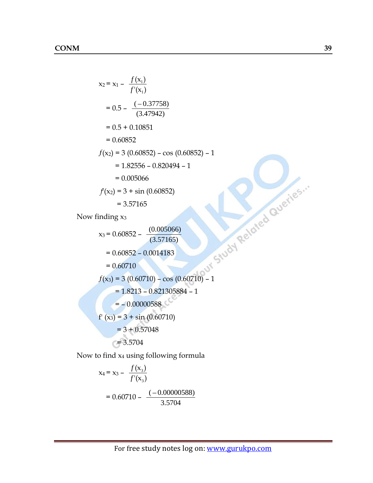$$
x_2 = x_1 - \frac{f(x_1)}{f'(x_1)}
$$
  
= 0.5 - \frac{(-0.37758)}{(3.47942)}  
= 0.5 + 0.10851  
= 0.60852  
 $f(x_2) = 3 (0.60852) - \cos (0.60852) - 1$   
= 1.82556 - 0.820494 - 1  
= 0.005066  
 $f(x_2) = 3 + \sin (0.60852)$   
= 3.57165

Now finding x<sup>3</sup>

$$
x_3 = 0.60852 - \frac{(0.005066)}{(3.57165)}
$$
  
= 0.60852 - 0.0014183  
= 0.60710  
 $f(x_3) = 3 (0.60710) - \cos (0.60710) - 1$   
= 1.8213 - 0.821305884 - 1  
= -0.00000588  
 $f'(x_3) = 3 + \sin (0.60710)$   
= 3 + 0.57048  
= 3.5704

Now to find x<sup>4</sup> using following formula

$$
x_4 = x_3 - \frac{f(x_3)}{f'(x_3)}
$$
  
= 0.60710 - \frac{(-0.00000588)}{3.5704}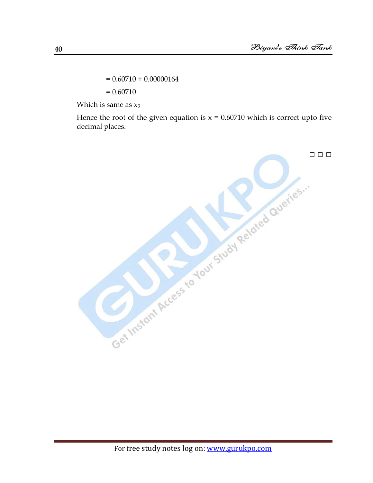$= 0.60710 + 0.00000164$ 

 $= 0.60710$ 

Which is same as  $x_3$ 

Hence the root of the given equation is  $x = 0.60710$  which is correct upto five decimal places.

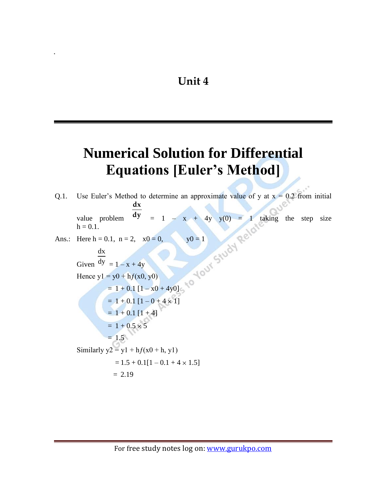# **Unit 4**

**CONMUNISTIC CONTRACT OF THE CONFIDENTIAL CONTRACT OF THE CONFIDENTIAL CONTRACT OF THE CONFIDENTIAL CONFIDENTIA** 

# **Numerical Solution for Differential Equations [Euler's Method]**

Q.1. Use Euler's Method to determine an approximate value of y at  $x = 0.2$  from initial **dx**  $y = 1 + 4y$   $y = 1$  taking the step size<br>
0,  $y = 1$ <br>  $y = 1$ <br>  $y = 1$ <br>  $y = 1$ <br>  $y = 1$ **dy** value problem  $h = 0.1.$ Ans.: Here  $h = 0.1$ ,  $n = 2$ ,  $x0 = 0$ , d x Given  $dy = 1 - x + 4y$ Hence  $y1 = y0 + hf(x0, y0)$ io  $= 1 + 0.1 [1 - x0 + 4y0]$  $= 1 + 0.1 [1 - 0 + 4 \times 1]$  $= 1 + 0.1 [1 + 4]$  $= 1 + 0.5 \times 5$  $= 1.5$ Similarly  $y2 = y1 + hf(x0 + h, y1)$  $= 1.5 + 0.1[1 - 0.1 + 4 \times 1.5]$  $= 2.19$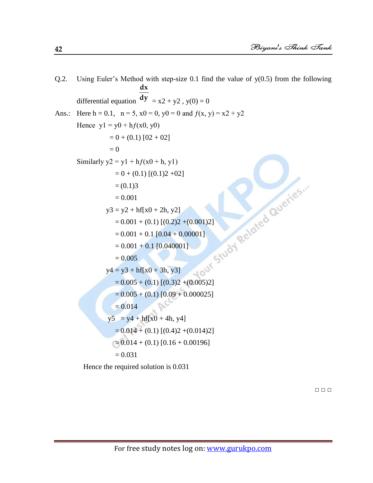

Hence the required solution is 0.031

□ □ □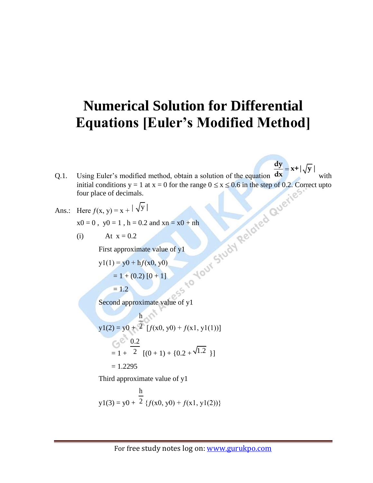# **Numerical Solution for Differential Equations [Euler's Modified Method]**

- Q.1. Using Euler's modified method, obtain a solution of the equation **dx**  $\frac{dy}{dx} = x + |\sqrt{y}|$ with initial conditions y = 1 at x = 0 for the range  $0 \le x \le 0.6$  in the step of 0.2. Correct upto<br>four place of decimals.<br>Here  $f(x, y) = x + |\sqrt{y}|$ <br> $x0 = 0$ ,  $y0 = 1$ ,  $h = 0.2$  and  $xn = x0 + nh$ <br>(i) At  $x = 0.2$ <br>First approximate value of four place of decimals.
- Ans.: Here  $f(x, y) = x + \sqrt{y}$  $x0 = 0$ ,  $y0 = 1$ ,  $h = 0.2$  and  $xn = x0 + nh$

 $= 1.2$ 

$$
(i) \qquad \qquad At \, x = 0.2
$$

First approximate value of y1

$$
y1(1) = y0 + h f(x0, y0)
$$
  
= 1 + (0.2) [0 + 1]

Second approximate value of y1

$$
\frac{h}{y1(2) = y0 + \frac{2}{2} [f(x0, y0) + f(x1, y1(1))]}
$$
  
= 1 +  $\frac{0.2}{2}$  [(0 + 1) + {0.2 +  $\sqrt{1.2}$  }]  
= 1.2295

Third approximate value of y1

$$
y1(3) = y0 + \frac{h}{2} \{f(x0, y0) + f(x1, y1(2))\}
$$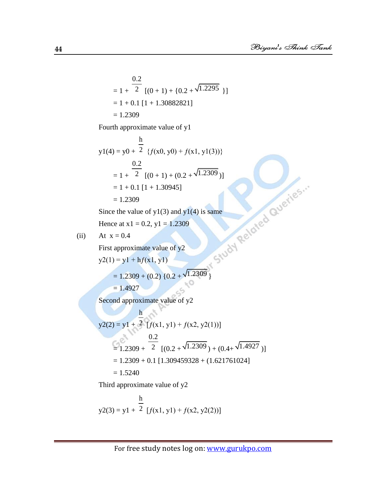$$
= 1 + \frac{0.2}{2} [(0 + 1) + {0.2 + \sqrt{1.2295}} ]
$$
  
= 1 + 0.1 [1 + 1.30882821]  
= 1.2309

Fourth approximate value of y1

$$
y1(4) = y0 + \frac{h}{2} \{f(x0, y0) + f(x1, y1(3))\}
$$
  
= 1 +  $\frac{0.2}{2}$  [(0 + 1) + (0.2 +  $\sqrt{1.2309}$ )]  
= 1 + 0.1 [1 + 1.30945]  
= 1.2309

Since the value of  $y1(3)$  and  $y1(4)$  is same Hence at  $x1 = 0.2$ ,  $y1 = 1.2309$ 

y1(4) = y0+
$$
\frac{1}{2}
$$
 {f(x0, y0) + f(x1, y1(3))}  
\n
$$
= 1 + \frac{0.2}{2} [(0 + 1) + (0.2 + \sqrt{1.2309})]
$$
\n
$$
= 1 + 0.1 [1 + 1.30945]
$$
\n
$$
= 1.2309
$$
\nSince the value of y1(3) and y1(4) is same  
\nHence at x1 = 0.2, y1 = 1.2309  
\n(ii) At x = 0.4  
\nFirst approximate value of y2  
\ny2(1) = y1 + h f(x1, y1)  
\n= 1.2309 + (0.2) {0.2 +  $\sqrt{1.2309}$ }  
\n= 1.4927  
\nSecond approximate value of y2  
\ny2(2) = y1 +  $\frac{h}{2}$  [f(x1, y1) + f(x2, y2(1))]  
\n
$$
\frac{0.2}{2}
$$
\n= 1.2309 + 0.1 [1.309459328 + (1.621761024]  
\n= 1.5240  
\nThird approximate value of y2  
\n
$$
h
$$

$$
y2(3) = y1 + \overline{2} [f(x1, y1) + f(x2, y2(2))]
$$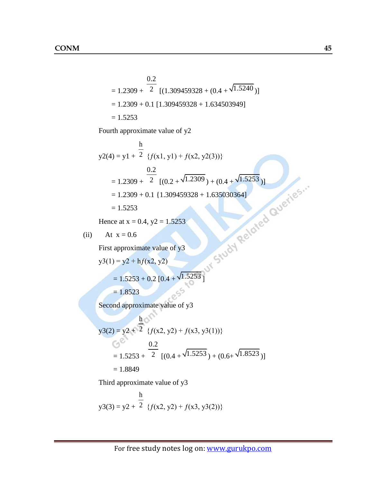$$
= 1.2309 + \frac{0.2}{2} [(1.309459328 + (0.4 + \sqrt{1.5240})]
$$
  
= 1.2309 + 0.1 [1.309459328 + 1.634503949]  
= 1.5253

Fourth approximate value of y2

$$
y2(4) = y1 + \frac{h}{2} \{f(x1, y1) + f(x2, y2(3))\}
$$
  
= 1.2309 + \frac{0.2}{2} [(0.2 + \sqrt{1.2309}) + (0.4 + \sqrt{1.5253})]  
= 1.2309 + 0.1 {1.309459328 + 1.635030364}  
= 1.5253

Hence at  $x = 0.4$ ,  $y2 = 1.5253$ 

$$
(ii) \qquad \text{At } x = 0.6
$$

First approximate value of y3

$$
y3(1) = y2 + h f(x2, y2)
$$
  
= 1.5253 + 0.2 [0.4 +  $\sqrt{1.5253}$ ]  
= 1.8523  
Second approximate value of y3

$$
y3(2) = y2 + \frac{h}{2} \{f(x2, y2) + f(x3, y3(1))\}
$$
  
= 1.5253 +  $\frac{0.2}{2}$  [(0.4 +  $\sqrt{1.5253}$ ) + (0.6+  $\sqrt{1.8523}$ )]  
= 1.8849

Third approximate value of y3

$$
y3(3) = y2 + \frac{h}{2} \{f(x2, y2) + f(x3, y3(2))\}
$$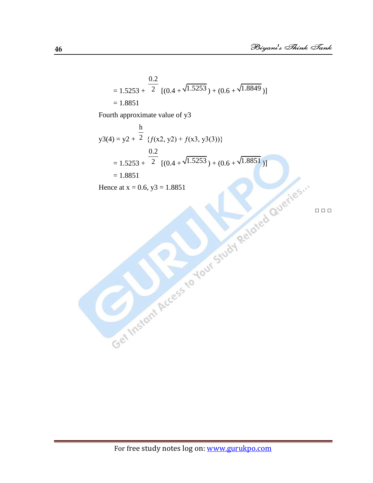$$
= 1.5253 + \frac{0.2}{2} [(0.4 + \sqrt{1.5253}) + (0.6 + \sqrt{1.8849})]
$$
  
= 1.8851

Fourth approximate value of y3

$$
y3(4) = y2 + \frac{h}{2} \{f(x2, y2) + f(x3, y3(3))\}
$$
  
= 1.5253 + \frac{0.2}{2} [(0.4 + \sqrt{1.5253}) + (0.6 + \sqrt{1.8851})]  
= 1.8851

Hence at  $x = 0.6$ ,  $y3 = 1.8851$ 

□ □ □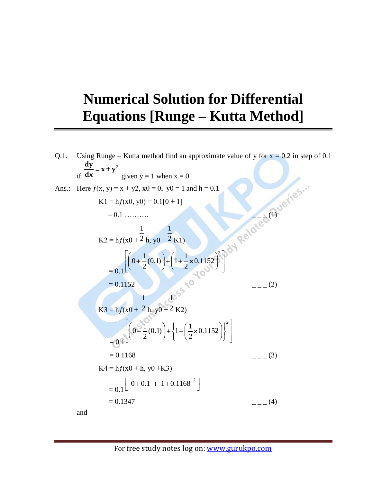# **Numerical Solution for Differential Equations [Runge – Kutta Method]**

Q.1. Using Runge - Kutta method find an approximate value of y for x = 0.2 in step of 0.1  
\nif 
$$
dx = x + y^2
$$
  
\nif  $dx = x + y^2$   
\ngiven y = 1 when x = 0  
\nAns.: Here  $f(x, y) = x + y2$ ,  $x0 = 0$ ,  $y0 = 1$  and  $h = 0.1$   
\n $K1 = hf(x0, y0) = 0.1[0 + 1]$   
\n $= 0.1$ ........  
\n
$$
K2 = hf(x0 + \frac{1}{2}h, y0 + \frac{1}{2}k1)
$$
\n
$$
= 0.1152
$$
\n
$$
= 0.1152
$$
\n
$$
= 0.1152
$$
\n
$$
= 0.1152
$$
\n
$$
= 0.1162
$$
\n
$$
= 0.1168
$$
\n
$$
K4 = hf(x0 + h, y0 + K3)
$$
\n
$$
= 0.1168
$$
\n
$$
= 0.1168
$$
\n
$$
= 0.1168
$$
\n
$$
= 0.1347
$$
\n
$$
= - (4)
$$

and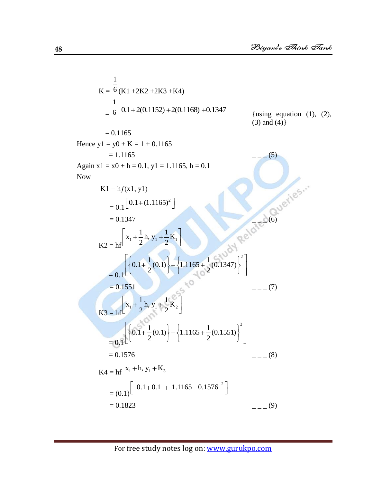$$
K = \frac{1}{6} (K1 + 2K2 + 2K3 + K4)
$$
\n
$$
= \frac{1}{6} 0.1 + 2(0.1152) + 2(0.1168) + 0.1347
$$
\n(using equation (1), (2), (3) and (4))\n
$$
= 0.1165
$$
\nHence y1 = y0 + K = 1 + 0.1165\n
$$
= 1.1165
$$
\nAgain x1 = x0 + h = 0.1, y1 = 1.1165, h = 0.1\nNow\n
$$
K1 = hf(x1, y1)
$$
\n
$$
= 0.1 \left[\frac{0.1 + (1.1165)^{2}}{x + \frac{1}{2}h, y_{1} + \frac{1}{2}k_{1}}\right]
$$
\n
$$
= 0.1347
$$
\n
$$
K2 = hf\left[\frac{x_{1} + \frac{1}{2}h, y_{1} + \frac{1}{2}k_{1}}{x + \frac{1}{2}h, y_{1} + \frac{1}{2}k_{2}}\right]
$$
\n
$$
= 0.1551
$$
\n
$$
K3 = hf\left[\frac{x_{1} + \frac{1}{2}h, y_{1} + \frac{1}{2}k_{2}}{x + \frac{1}{2}h, y_{1} + \frac{1}{2}k_{2}}\right]
$$
\n
$$
= 0.1576
$$
\n
$$
K4 = hf\left[\frac{x_{1} + h, y_{1} + K_{3}}{x + \frac{1}{2}h, y_{1} + \frac{1}{2}k_{3}}\right]
$$
\n
$$
= 0.11233
$$
\n
$$
= 0.1823
$$
\n
$$
= 0.9
$$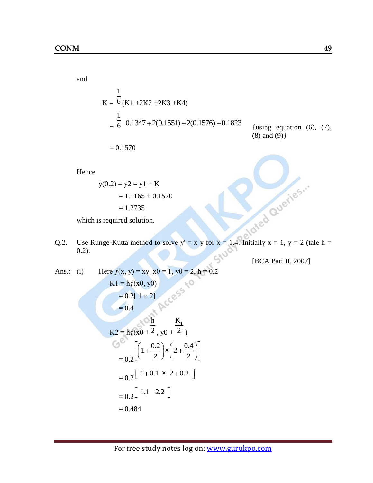and

$$
K = \frac{1}{6} (K1 + 2K2 + 2K3 + K4)
$$
  
=  $\frac{1}{6} 0.1347 + 2(0.1551) + 2(0.1576) + 0.1823$  {using equation (6), (7), (8) and (9)}

 $= 0.1570$ 

Hence

$$
y(0.2) = y2 = y1 + K
$$
  
= 1.1165 + 0.1570  
= 1.2735

which is required solution.

 $Q.2.$  Use Runge-Kutta method to solve y' = x y for x = 1.4. Initially x = 1, y = 2 (tale h = SIUO 0.2).

[BCA Part II, 2007]

Ans.: (i) Here 
$$
f(x, y) = xy
$$
,  $x0 = 1$ ,  $y0 = 2$ ,  $h = 0.2$   
\n
$$
K1 = hf(x0, y0)
$$
\n
$$
= 0.2[1 \times 2]
$$
\n
$$
= 0.4
$$
\n
$$
K2 = hf(x0 + 2, y0 + 2)
$$
\n
$$
= 0.2 \left[ \left( 1 + \frac{0.2}{2} \right) \times \left( 2 + \frac{0.4}{2} \right) \right]
$$
\n
$$
= 0.2 \left[ 1 + 0.1 \times 2 + 0.2 \right]
$$
\n
$$
= 0.2 \left[ 1.1 \quad 2.2 \right]
$$
\n
$$
= 0.484
$$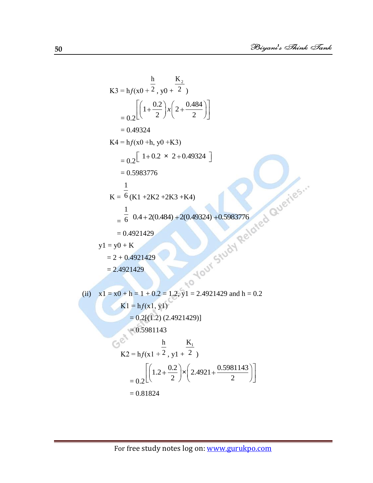$$
K3 = h f(x0 + \frac{h}{2}, y0 + \frac{K_2}{2})
$$
  
\n
$$
= 0.2 \left[ \left( 1 + \frac{0.2}{2} \right) x \left( 2 + \frac{0.484}{2} \right) \right]
$$
  
\n
$$
= 0.49324
$$
  
\n
$$
K4 = h f(x0 + h, y0 + K3)
$$
  
\n
$$
= 0.2 \left[ \frac{1 + 0.2 \times 2 + 0.49324}{2} \right]
$$
  
\n
$$
= 0.5983776
$$
  
\n
$$
K = \frac{1}{6} (K1 + 2K2 + 2K3 + K4)
$$
  
\n
$$
= \frac{1}{6} 0.4 + 2(0.484) + 2(0.49324) + 0.5983776
$$
  
\n
$$
= 0.4921429
$$
  
\n
$$
y1 = y0 + K
$$
  
\n
$$
= 2.4921429
$$
  
\n
$$
= 2.4921429
$$
  
\n(ii) 
$$
x1 = x0 + h = 1 + 0.2 = 1.2; y1 = 2.4921429
$$
 and  $h = 0.2$   
\n
$$
K1 = h f(x1, y1)
$$
  
\n
$$
= 0.2[(1.2) (2.4921429)]
$$
  
\n
$$
= 0.2[(1.2) (2.4921429)]
$$
  
\n
$$
= 0.5981143
$$
  
\n
$$
K2 = h f(x1 + \frac{1}{2}, y1 + \frac{K_1}{2})
$$
  
\n
$$
= 0.81824
$$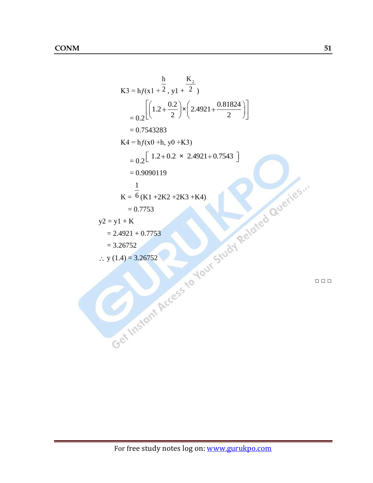$$
K3 = h f(x1 + \frac{h}{2}, y1 + \frac{K_2}{2})
$$
  
\n
$$
= 0.2 \left[ (1.2 + \frac{0.2}{2}) \times (2.4921 + \frac{0.81824}{2}) \right]
$$
  
\n
$$
= 0.7543283
$$
  
\n
$$
K4 = h f(x0 + h, y0 + K3)
$$
  
\n
$$
= 0.2 \left[ 1.2 + 0.2 \times 2.4921 + 0.7543 \right]
$$
  
\n
$$
= 0.9090119
$$
  
\n
$$
K = \frac{1}{6} (K1 + 2K2 + 2K3 + K4)
$$
  
\n
$$
= 0.7753
$$
  
\n
$$
y2 = y1 + K
$$
  
\n
$$
= 2.4921 + 0.7753
$$
  
\n
$$
= 3.26752
$$
  
\n
$$
\therefore y (1.4) = 3.26752
$$
  
\n
$$
y(1.4) = 3.26752
$$
  
\n
$$
Ge^{\frac{1}{3}} N10510N^{\frac{1}{3}} Rc^{(e-5)} N^{\frac{1}{3}} N^{\frac{1}{3}} C^{\frac{1}{3}} N^{\frac{1}{3}} C^{\frac{1}{3}}
$$

□ □ □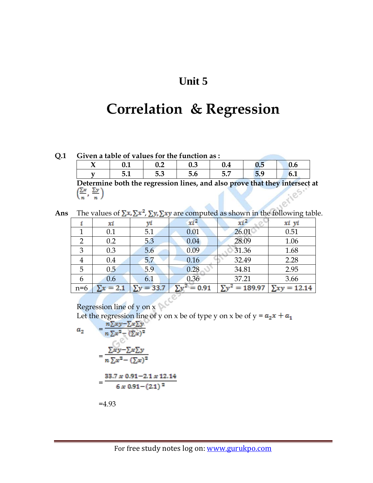# **Unit 5**

# **Correlation & Regression**

**Q.1 Given a table of values for the function as :** 

|    | $^{\circ}$<br>U.L | <u>ΩΩ</u><br>v.∠ | $\sim$<br>υ.υ | 0.4            | U.5      | $\sim$<br>V.O |
|----|-------------------|------------------|---------------|----------------|----------|---------------|
| -- | E 1<br>◡…         | 5.3              | 5.0           | c.<br>—<br>J.I | 5.9<br>Q | -<br>0.1      |

Determine both the regression lines, and also prove that they intersect at  $\left(\frac{\sum x}{n}, \frac{\sum y}{n}\right)$ 

Ans The values of  $\sum x$ ,  $\sum x^2$ ,  $\sum y$ ,  $\sum xy$  are computed as shown in the following table.

| Ť              | хi      | γi       | $xi^2$ | хi         | xi yi     |
|----------------|---------|----------|--------|------------|-----------|
|                | 0.1     | 5.1      | 0.01   | 26.01      | 0.51      |
| 2              | 0.2     | 5.3      | 0.04   | 28.09      | 1.06      |
| 3              | 0.3     | 5.6      | 0.09   | 31.36      | 1.68      |
| $\overline{4}$ | 0.4     | 5.7      | 0.16   | 32.49      | 2.28      |
| 5              | 0.5     | 5.9      | 0.28   | 34.81      | 2.95      |
| 6              | 0.6     | 6.1      | 0.36   | 37.21      | 3.66      |
| $n=6$          | $= 2.1$ | $= 33.7$ | 0.91   | $= 189.97$ | $= 12.14$ |

Regression line of y on x

Let the regression line of y on x be of type y on x be of  $y = a_2x + a_1$ 

$$
a_2 = \frac{n \sum xy - \sum x \sum y}{n \sum x^2 - (\sum x)^2}
$$
  
= 
$$
\frac{\sum xy - \sum x \sum y}{n \sum x^2 - (\sum x)^2}
$$
  
= 
$$
\frac{33.7 \times 0.91 - 2.1 \times 12.14}{6 \times 0.91 - (2.1)^2}
$$
  
= 4.93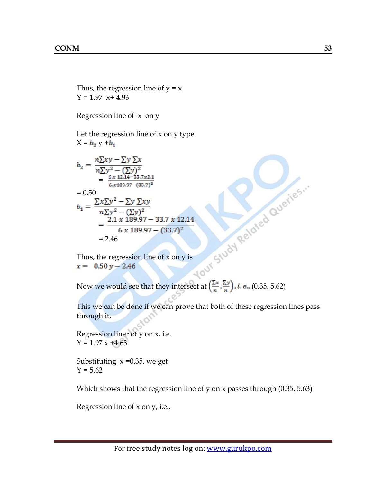Thus, the regression line of  $y = x$  $Y = 1.97 x + 4.93$ 

Regression line of  $x$  on  $y$ 

Let the regression line of x on y type  $X = b_2 y + b_1$ 

$$
X = b_2 y + b_1
$$
  
\n
$$
b_2 = \frac{n \sum xy - \sum y \sum x}{n \sum y^2 - (\sum y)^2}
$$
  
\n
$$
= \frac{6 \times 12.14 - 33.7 \times 2.1}{6 \times 189.97 - (33.7)^2}
$$
  
\n
$$
= 0.50
$$
  
\n
$$
b_1 = \frac{\sum x \sum y^2 - (\sum y)^2}{n \sum y^2 - (\sum y)^2}
$$
  
\n
$$
= \frac{2.1 \times 189.97 - 33.7 \times 12.14}{6 \times 189.97 - (33.7)^2}
$$
  
\n
$$
= 2.46
$$
  
\nThus, the regression line of x on y is  
\n
$$
x = 0.50 y - 2.46
$$
  
\nNow we would see that they intersect at  $(\frac{\sum x}{n}, \frac{\sum y}{n})$ , *i. e., (0.35, 5.62)*

 $x = 0.50 y - 2.46$ 

Now we would see that they intersect at  $\left(\frac{\sum x}{n}, \frac{\sum y}{n}\right)$ , *i.e.*, (0.35, 5.62)

This we can be done if we can prove that both of these regression lines pass through it.

Regression liner of y on x, i.e.  $Y = 1.97 \times +4.63$ 

Substituting  $x = 0.35$ , we get  $Y = 5.62$ 

Which shows that the regression line of y on x passes through (0.35, 5.63)

Regression line of x on y, i.e.,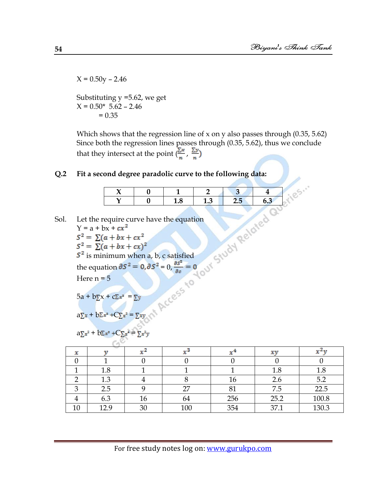$X = 0.50y - 2.46$ Substituting y =5.62, we get  $X = 0.50^*$  5.62 – 2.46  $= 0.35$ 

Which shows that the regression line of x on y also passes through  $(0.35, 5.62)$ Since both the regression lines passes through (0.35, 5.62), thus we conclude that they intersect at the point  $\left(\frac{\sum x}{n}, \frac{\sum y}{n}\right)$ 

### **Q.2 Fit a second degree paradolic curve to the following data:**

|  | $1.8\,$ | 1.J | <b>2.5</b> | ს.ე |  |
|--|---------|-----|------------|-----|--|
|  |         |     |            |     |  |

Sol. Let the require curve have the equation

 $Y = a + bx +$ 

is minimum when a, b, c satisfied

the equation  $\partial S^2 = 0$ ,  $\partial S^2 = 0$ ,

Here n = 5

$$
5a + b\Sigma x + c\Sigma x^2 = \Sigma y
$$

$$
a\Sigma x + b\Sigma x^2 + C\Sigma x^3 = \Sigma xy
$$

$$
a\sum x^2 + b\sum x^2 + C\sum x^4 = \sum x^2y
$$

| х  |      |    |     |     | x٦   |         |
|----|------|----|-----|-----|------|---------|
|    |      |    |     |     |      |         |
|    | 1.8  |    |     |     | 1.8  | $1.8\,$ |
|    | 1.3  |    |     | 16  | 2.6  | 5.2     |
|    | 2.5  |    | 27  |     | 7.5  | 22.5    |
|    | 6.3  | 16 | 64  | 256 | 25.2 | 100.8   |
| 10 | 12.9 | 30 | 100 | 354 | 37.1 | 130.3   |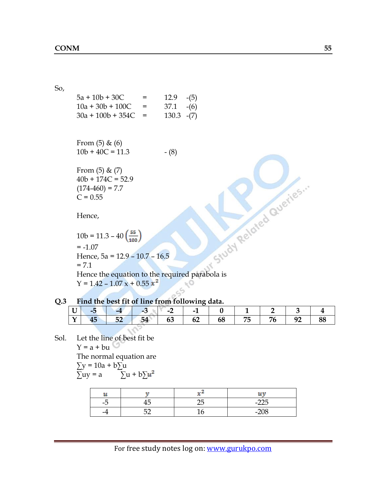So,

| $5a + 10b + 30C$    | $=$ | $12.9 - (5)$ |  |
|---------------------|-----|--------------|--|
| $10a + 30b + 100C$  | $=$ | $37.1 - (6)$ |  |
| $30a + 100b + 354C$ | $=$ | $130.3$ -(7) |  |

```
From (5) & (6)10b + 40C = 11.3 (8)
```
From  $(5)$  &  $(7)$  $40b + 174C = 52.9$  $(174-460) = 7.7$  $C = 0.55$ 

Hence,

```
10b = 11.3 - 40 \left( \frac{55}{100} \right)= -1.07Hence, 5a = 12.9 – 10.7 – 16.5
= 7.110b = 11.3 - 40 \left(\frac{55}{100}\right)<br>
= -1.07<br>
Hence, 5a = 12.9 - 10.7 - 16.5<br>
= 7.1<br>
Hence the equation to the required parabola is
Y = 1.42 - 1.07 x + 0.55 x^2
```

```
Q.3 Find the best fit of line from following data.
```

| $\overline{\phantom{a}}$<br>∼ | ᅩ  | -4 | - 1<br>ັ |    | - 1 |    |          |    |    |    |
|-------------------------------|----|----|----------|----|-----|----|----------|----|----|----|
|                               | -- | よっ | 54       | 63 | 62  | 68 | --<br>75 | 76 | 92 | 88 |

Sol. Let the line of best fit be  $Y = a + bu$ The normal equation are  $\sum y = 10a + b\sum u$ <br> $\sum uv = a$   $\sum u$  $\sum u + b \sum u^2$ 

|      |    | 33 E   | <b>ALC NO</b>        |
|------|----|--------|----------------------|
| - ാ  | ∽  | ь<br>∼ | $\sim$ $\sim$ $\sim$ |
| $-4$ | Б. |        | ס∩ר                  |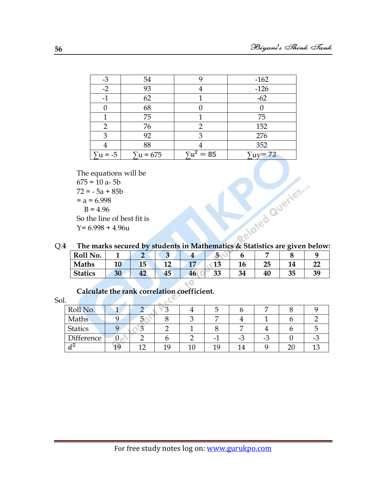|                                                                                                                                          | $-3$                                                               | 54               | 9                 | $-162$          |  |  |  |  |  |
|------------------------------------------------------------------------------------------------------------------------------------------|--------------------------------------------------------------------|------------------|-------------------|-----------------|--|--|--|--|--|
|                                                                                                                                          | $-2$                                                               | 93               | $\overline{4}$    | $-126$          |  |  |  |  |  |
|                                                                                                                                          | $-1$                                                               | 62               | 1                 | $-62$           |  |  |  |  |  |
|                                                                                                                                          | $\theta$                                                           | 68               | $\theta$          | 0               |  |  |  |  |  |
|                                                                                                                                          | $\mathbf{1}$                                                       | 75               | $\mathbf{1}$      | 75              |  |  |  |  |  |
|                                                                                                                                          | $\overline{2}$                                                     | 76               | $\overline{2}$    | 152             |  |  |  |  |  |
|                                                                                                                                          | 3                                                                  | 92               | 3                 | 276             |  |  |  |  |  |
|                                                                                                                                          | $\overline{4}$                                                     | 88               | $\overline{4}$    | 352             |  |  |  |  |  |
|                                                                                                                                          | $\nabla$ u = -5                                                    | $\Sigma u = 675$ | $\nabla u^2 = 85$ | $\Sigma$ uy= 72 |  |  |  |  |  |
| equations will be<br>$= 10$ a-5b<br>Related Queries<br>= - 5a + 85b<br>$= 6.998$<br>$= 4.96$<br>he line of best fit is:<br>6.998 + 4.96u |                                                                    |                  |                   |                 |  |  |  |  |  |
|                                                                                                                                          | marks secured by students in Mathematics & Statistics are given be |                  |                   |                 |  |  |  |  |  |

The equations will be  $675 = 10$  a-5b  $72 = -5a + 85b$  $= a = 6.998$  $B = 4.96$ So the line of best fit is  $Y= 6.998 + 4.96u$ 

### Q.**4 The marks secured by students in Mathematics & Statistics are given below:**

5. O

| Roll No.       |    |                             |    |    | ◡        |           |          |    |    |
|----------------|----|-----------------------------|----|----|----------|-----------|----------|----|----|
| <b>Maths</b>   | 10 | $\mathbf{\mathbf{a}}$<br>15 | 10 |    | 12<br>LΟ | <b>16</b> | っに<br>∠J | 14 | n. |
| <b>Statics</b> | 30 | 42                          | 45 | 46 | 22<br>ບບ | 34        | 40       | 35 | 39 |

### **Calculate the rank correlation coefficient.**

and the second control of the second second

Sol.

| Roll No.          |    |     |    |    |     |    |   |    |   |
|-------------------|----|-----|----|----|-----|----|---|----|---|
| Maths             |    | h   |    |    |     |    |   |    |   |
| <b>Statics</b>    |    |     |    |    |     |    |   |    |   |
| <b>Difference</b> |    |     |    |    | - 1 | -9 | − |    | ∽ |
|                   | 10 | 1 ∩ | 10 | 10 | 19  | 14 |   | nr |   |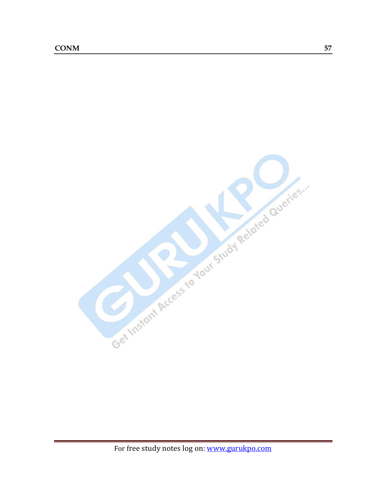